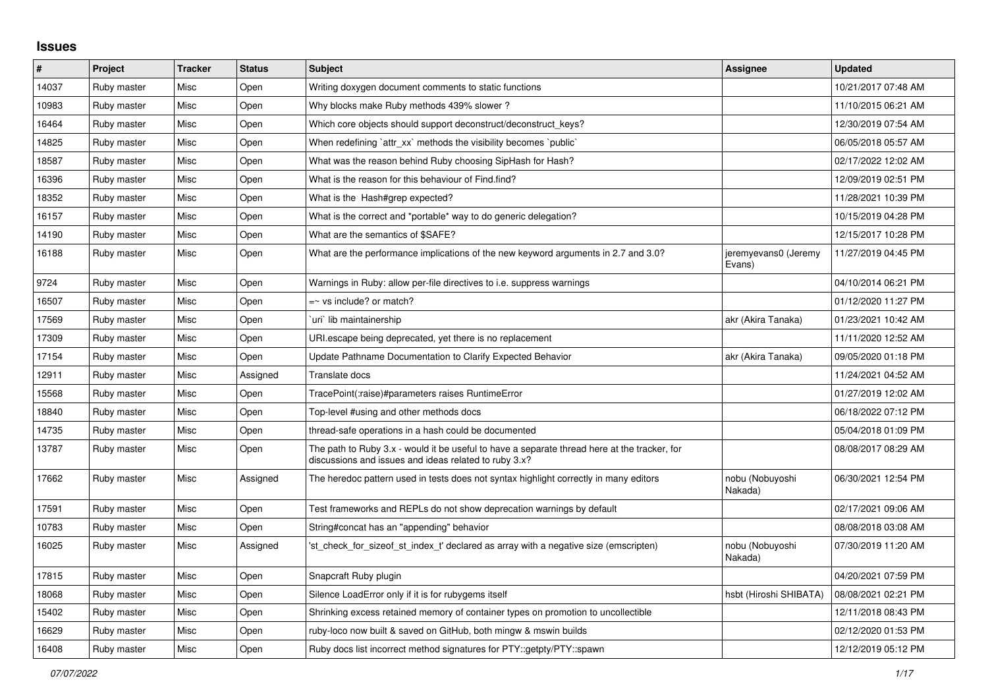## **Issues**

| $\sharp$ | Project     | <b>Tracker</b> | <b>Status</b> | <b>Subject</b>                                                                                                                                        | Assignee                       | <b>Updated</b>      |
|----------|-------------|----------------|---------------|-------------------------------------------------------------------------------------------------------------------------------------------------------|--------------------------------|---------------------|
| 14037    | Ruby master | Misc           | Open          | Writing doxygen document comments to static functions                                                                                                 |                                | 10/21/2017 07:48 AM |
| 10983    | Ruby master | Misc           | Open          | Why blocks make Ruby methods 439% slower?                                                                                                             |                                | 11/10/2015 06:21 AM |
| 16464    | Ruby master | Misc           | Open          | Which core objects should support deconstruct/deconstruct_keys?                                                                                       |                                | 12/30/2019 07:54 AM |
| 14825    | Ruby master | Misc           | Open          | When redefining `attr xx` methods the visibility becomes `public`                                                                                     |                                | 06/05/2018 05:57 AM |
| 18587    | Ruby master | Misc           | Open          | What was the reason behind Ruby choosing SipHash for Hash?                                                                                            |                                | 02/17/2022 12:02 AM |
| 16396    | Ruby master | Misc           | Open          | What is the reason for this behaviour of Find.find?                                                                                                   |                                | 12/09/2019 02:51 PM |
| 18352    | Ruby master | Misc           | Open          | What is the Hash#grep expected?                                                                                                                       |                                | 11/28/2021 10:39 PM |
| 16157    | Ruby master | Misc           | Open          | What is the correct and *portable* way to do generic delegation?                                                                                      |                                | 10/15/2019 04:28 PM |
| 14190    | Ruby master | Misc           | Open          | What are the semantics of \$SAFE?                                                                                                                     |                                | 12/15/2017 10:28 PM |
| 16188    | Ruby master | Misc           | Open          | What are the performance implications of the new keyword arguments in 2.7 and 3.0?                                                                    | jeremyevans0 (Jeremy<br>Evans) | 11/27/2019 04:45 PM |
| 9724     | Ruby master | Misc           | Open          | Warnings in Ruby: allow per-file directives to i.e. suppress warnings                                                                                 |                                | 04/10/2014 06:21 PM |
| 16507    | Ruby master | Misc           | Open          | $=$ vs include? or match?                                                                                                                             |                                | 01/12/2020 11:27 PM |
| 17569    | Ruby master | Misc           | Open          | uri`lib maintainership                                                                                                                                | akr (Akira Tanaka)             | 01/23/2021 10:42 AM |
| 17309    | Ruby master | Misc           | Open          | URI escape being deprecated, yet there is no replacement                                                                                              |                                | 11/11/2020 12:52 AM |
| 17154    | Ruby master | Misc           | Open          | Update Pathname Documentation to Clarify Expected Behavior                                                                                            | akr (Akira Tanaka)             | 09/05/2020 01:18 PM |
| 12911    | Ruby master | Misc           | Assigned      | Translate docs                                                                                                                                        |                                | 11/24/2021 04:52 AM |
| 15568    | Ruby master | Misc           | Open          | TracePoint(:raise)#parameters raises RuntimeError                                                                                                     |                                | 01/27/2019 12:02 AM |
| 18840    | Ruby master | Misc           | Open          | Top-level #using and other methods docs                                                                                                               |                                | 06/18/2022 07:12 PM |
| 14735    | Ruby master | Misc           | Open          | thread-safe operations in a hash could be documented                                                                                                  |                                | 05/04/2018 01:09 PM |
| 13787    | Ruby master | Misc           | Open          | The path to Ruby 3.x - would it be useful to have a separate thread here at the tracker, for<br>discussions and issues and ideas related to ruby 3.x? |                                | 08/08/2017 08:29 AM |
| 17662    | Ruby master | Misc           | Assigned      | The heredoc pattern used in tests does not syntax highlight correctly in many editors                                                                 | nobu (Nobuyoshi<br>Nakada)     | 06/30/2021 12:54 PM |
| 17591    | Ruby master | Misc           | Open          | Test frameworks and REPLs do not show deprecation warnings by default                                                                                 |                                | 02/17/2021 09:06 AM |
| 10783    | Ruby master | Misc           | Open          | String#concat has an "appending" behavior                                                                                                             |                                | 08/08/2018 03:08 AM |
| 16025    | Ruby master | Misc           | Assigned      | 'st check for sizeof st index t' declared as array with a negative size (emscripten)                                                                  | nobu (Nobuyoshi<br>Nakada)     | 07/30/2019 11:20 AM |
| 17815    | Ruby master | Misc           | Open          | Snapcraft Ruby plugin                                                                                                                                 |                                | 04/20/2021 07:59 PM |
| 18068    | Ruby master | Misc           | Open          | Silence LoadError only if it is for rubygems itself                                                                                                   | hsbt (Hiroshi SHIBATA)         | 08/08/2021 02:21 PM |
| 15402    | Ruby master | Misc           | Open          | Shrinking excess retained memory of container types on promotion to uncollectible                                                                     |                                | 12/11/2018 08:43 PM |
| 16629    | Ruby master | Misc           | Open          | ruby-loco now built & saved on GitHub, both mingw & mswin builds                                                                                      |                                | 02/12/2020 01:53 PM |
| 16408    | Ruby master | Misc           | Open          | Ruby docs list incorrect method signatures for PTY::getpty/PTY::spawn                                                                                 |                                | 12/12/2019 05:12 PM |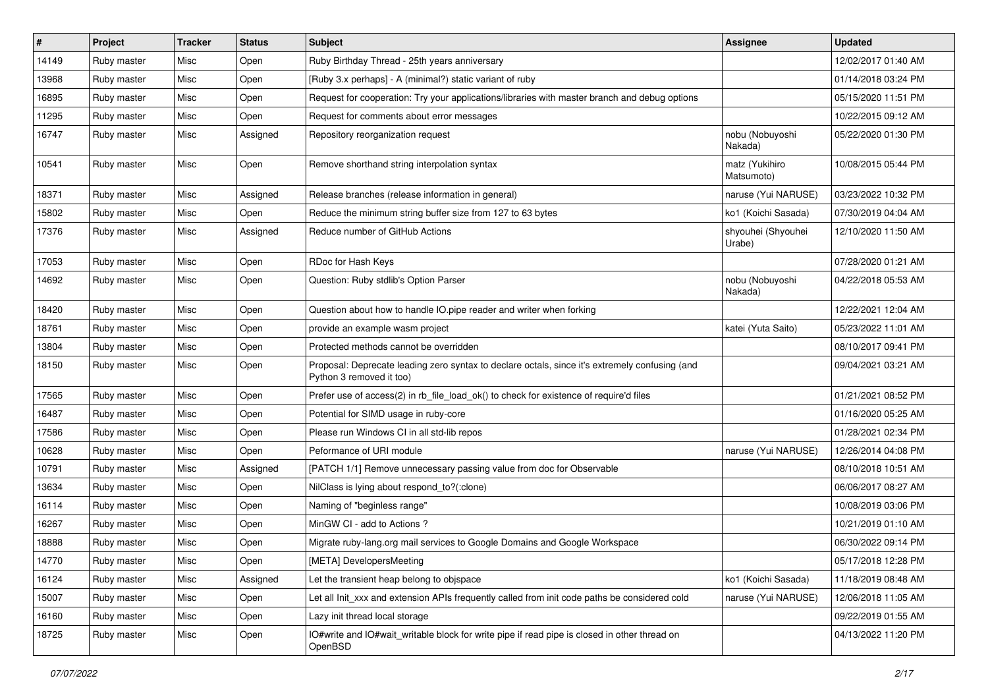| $\vert$ # | Project     | <b>Tracker</b> | <b>Status</b> | <b>Subject</b>                                                                                                             | <b>Assignee</b>              | <b>Updated</b>      |
|-----------|-------------|----------------|---------------|----------------------------------------------------------------------------------------------------------------------------|------------------------------|---------------------|
| 14149     | Ruby master | Misc           | Open          | Ruby Birthday Thread - 25th years anniversary                                                                              |                              | 12/02/2017 01:40 AM |
| 13968     | Ruby master | Misc           | Open          | [Ruby 3.x perhaps] - A (minimal?) static variant of ruby                                                                   |                              | 01/14/2018 03:24 PM |
| 16895     | Ruby master | Misc           | Open          | Request for cooperation: Try your applications/libraries with master branch and debug options                              |                              | 05/15/2020 11:51 PM |
| 11295     | Ruby master | Misc           | Open          | Request for comments about error messages                                                                                  |                              | 10/22/2015 09:12 AM |
| 16747     | Ruby master | Misc           | Assigned      | Repository reorganization request                                                                                          | nobu (Nobuyoshi<br>Nakada)   | 05/22/2020 01:30 PM |
| 10541     | Ruby master | Misc           | Open          | Remove shorthand string interpolation syntax                                                                               | matz (Yukihiro<br>Matsumoto) | 10/08/2015 05:44 PM |
| 18371     | Ruby master | Misc           | Assigned      | Release branches (release information in general)                                                                          | naruse (Yui NARUSE)          | 03/23/2022 10:32 PM |
| 15802     | Ruby master | Misc           | Open          | Reduce the minimum string buffer size from 127 to 63 bytes                                                                 | ko1 (Koichi Sasada)          | 07/30/2019 04:04 AM |
| 17376     | Ruby master | Misc           | Assigned      | Reduce number of GitHub Actions                                                                                            | shyouhei (Shyouhei<br>Urabe) | 12/10/2020 11:50 AM |
| 17053     | Ruby master | Misc           | Open          | RDoc for Hash Keys                                                                                                         |                              | 07/28/2020 01:21 AM |
| 14692     | Ruby master | Misc           | Open          | Question: Ruby stdlib's Option Parser                                                                                      | nobu (Nobuyoshi<br>Nakada)   | 04/22/2018 05:53 AM |
| 18420     | Ruby master | Misc           | Open          | Question about how to handle IO.pipe reader and writer when forking                                                        |                              | 12/22/2021 12:04 AM |
| 18761     | Ruby master | Misc           | Open          | provide an example wasm project                                                                                            | katei (Yuta Saito)           | 05/23/2022 11:01 AM |
| 13804     | Ruby master | Misc           | Open          | Protected methods cannot be overridden                                                                                     |                              | 08/10/2017 09:41 PM |
| 18150     | Ruby master | Misc           | Open          | Proposal: Deprecate leading zero syntax to declare octals, since it's extremely confusing (and<br>Python 3 removed it too) |                              | 09/04/2021 03:21 AM |
| 17565     | Ruby master | Misc           | Open          | Prefer use of access(2) in rb_file_load_ok() to check for existence of require'd files                                     |                              | 01/21/2021 08:52 PM |
| 16487     | Ruby master | Misc           | Open          | Potential for SIMD usage in ruby-core                                                                                      |                              | 01/16/2020 05:25 AM |
| 17586     | Ruby master | Misc           | Open          | Please run Windows CI in all std-lib repos                                                                                 |                              | 01/28/2021 02:34 PM |
| 10628     | Ruby master | Misc           | Open          | Peformance of URI module                                                                                                   | naruse (Yui NARUSE)          | 12/26/2014 04:08 PM |
| 10791     | Ruby master | Misc           | Assigned      | [PATCH 1/1] Remove unnecessary passing value from doc for Observable                                                       |                              | 08/10/2018 10:51 AM |
| 13634     | Ruby master | Misc           | Open          | NilClass is lying about respond_to?(:clone)                                                                                |                              | 06/06/2017 08:27 AM |
| 16114     | Ruby master | Misc           | Open          | Naming of "beginless range"                                                                                                |                              | 10/08/2019 03:06 PM |
| 16267     | Ruby master | Misc           | Open          | MinGW CI - add to Actions?                                                                                                 |                              | 10/21/2019 01:10 AM |
| 18888     | Ruby master | Misc           | Open          | Migrate ruby-lang.org mail services to Google Domains and Google Workspace                                                 |                              | 06/30/2022 09:14 PM |
| 14770     | Ruby master | Misc           | Open          | [META] DevelopersMeeting                                                                                                   |                              | 05/17/2018 12:28 PM |
| 16124     | Ruby master | Misc           | Assigned      | Let the transient heap belong to objspace                                                                                  | ko1 (Koichi Sasada)          | 11/18/2019 08:48 AM |
| 15007     | Ruby master | Misc           | Open          | Let all Init_xxx and extension APIs frequently called from init code paths be considered cold                              | naruse (Yui NARUSE)          | 12/06/2018 11:05 AM |
| 16160     | Ruby master | Misc           | Open          | Lazy init thread local storage                                                                                             |                              | 09/22/2019 01:55 AM |
| 18725     | Ruby master | Misc           | Open          | IO#write and IO#wait_writable block for write pipe if read pipe is closed in other thread on<br>OpenBSD                    |                              | 04/13/2022 11:20 PM |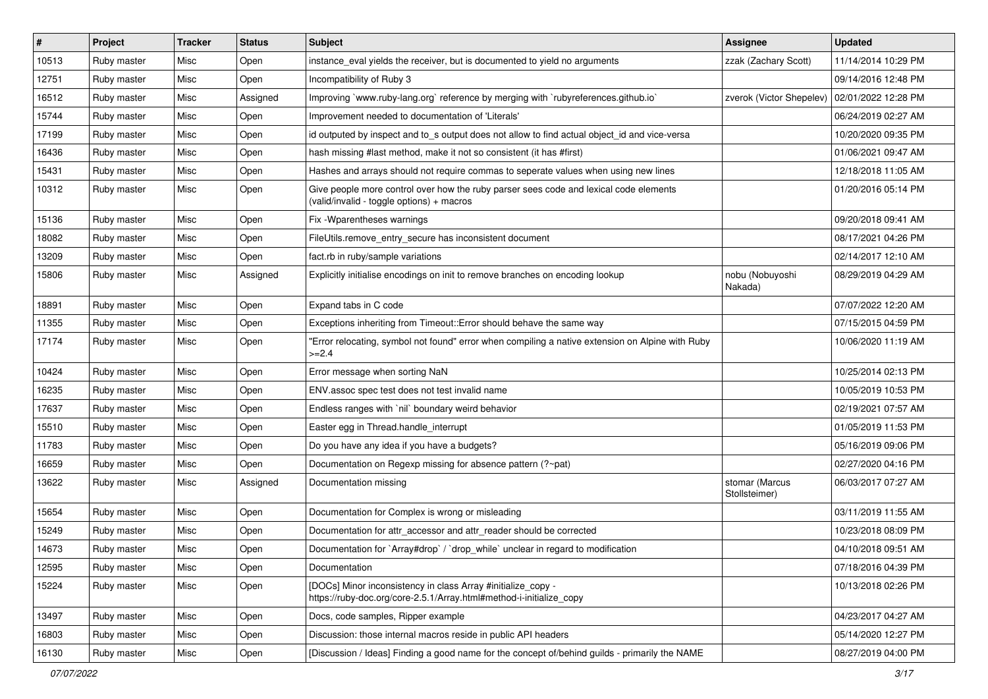| $\vert$ # | Project     | <b>Tracker</b> | <b>Status</b> | <b>Subject</b>                                                                                                                      | <b>Assignee</b>                 | <b>Updated</b>      |
|-----------|-------------|----------------|---------------|-------------------------------------------------------------------------------------------------------------------------------------|---------------------------------|---------------------|
| 10513     | Ruby master | Misc           | Open          | instance_eval yields the receiver, but is documented to yield no arguments                                                          | zzak (Zachary Scott)            | 11/14/2014 10:29 PM |
| 12751     | Ruby master | Misc           | Open          | Incompatibility of Ruby 3                                                                                                           |                                 | 09/14/2016 12:48 PM |
| 16512     | Ruby master | Misc           | Assigned      | Improving `www.ruby-lang.org` reference by merging with `rubyreferences.github.io`                                                  | zverok (Victor Shepelev)        | 02/01/2022 12:28 PM |
| 15744     | Ruby master | Misc           | Open          | Improvement needed to documentation of 'Literals'                                                                                   |                                 | 06/24/2019 02:27 AM |
| 17199     | Ruby master | Misc           | Open          | id outputed by inspect and to_s output does not allow to find actual object_id and vice-versa                                       |                                 | 10/20/2020 09:35 PM |
| 16436     | Ruby master | Misc           | Open          | hash missing #last method, make it not so consistent (it has #first)                                                                |                                 | 01/06/2021 09:47 AM |
| 15431     | Ruby master | Misc           | Open          | Hashes and arrays should not require commas to seperate values when using new lines                                                 |                                 | 12/18/2018 11:05 AM |
| 10312     | Ruby master | Misc           | Open          | Give people more control over how the ruby parser sees code and lexical code elements<br>(valid/invalid - toggle options) + macros  |                                 | 01/20/2016 05:14 PM |
| 15136     | Ruby master | Misc           | Open          | Fix - Wparentheses warnings                                                                                                         |                                 | 09/20/2018 09:41 AM |
| 18082     | Ruby master | Misc           | Open          | FileUtils.remove_entry_secure has inconsistent document                                                                             |                                 | 08/17/2021 04:26 PM |
| 13209     | Ruby master | Misc           | Open          | fact.rb in ruby/sample variations                                                                                                   |                                 | 02/14/2017 12:10 AM |
| 15806     | Ruby master | Misc           | Assigned      | Explicitly initialise encodings on init to remove branches on encoding lookup                                                       | nobu (Nobuyoshi<br>Nakada)      | 08/29/2019 04:29 AM |
| 18891     | Ruby master | Misc           | Open          | Expand tabs in C code                                                                                                               |                                 | 07/07/2022 12:20 AM |
| 11355     | Ruby master | Misc           | Open          | Exceptions inheriting from Timeout:: Error should behave the same way                                                               |                                 | 07/15/2015 04:59 PM |
| 17174     | Ruby master | Misc           | Open          | 'Error relocating, symbol not found" error when compiling a native extension on Alpine with Ruby<br>$>=2.4$                         |                                 | 10/06/2020 11:19 AM |
| 10424     | Ruby master | Misc           | Open          | Error message when sorting NaN                                                                                                      |                                 | 10/25/2014 02:13 PM |
| 16235     | Ruby master | Misc           | Open          | ENV.assoc spec test does not test invalid name                                                                                      |                                 | 10/05/2019 10:53 PM |
| 17637     | Ruby master | Misc           | Open          | Endless ranges with 'nil' boundary weird behavior                                                                                   |                                 | 02/19/2021 07:57 AM |
| 15510     | Ruby master | Misc           | Open          | Easter egg in Thread.handle_interrupt                                                                                               |                                 | 01/05/2019 11:53 PM |
| 11783     | Ruby master | Misc           | Open          | Do you have any idea if you have a budgets?                                                                                         |                                 | 05/16/2019 09:06 PM |
| 16659     | Ruby master | Misc           | Open          | Documentation on Regexp missing for absence pattern (?~pat)                                                                         |                                 | 02/27/2020 04:16 PM |
| 13622     | Ruby master | Misc           | Assigned      | Documentation missing                                                                                                               | stomar (Marcus<br>Stollsteimer) | 06/03/2017 07:27 AM |
| 15654     | Ruby master | Misc           | Open          | Documentation for Complex is wrong or misleading                                                                                    |                                 | 03/11/2019 11:55 AM |
| 15249     | Ruby master | Misc           | Open          | Documentation for attr_accessor and attr_reader should be corrected                                                                 |                                 | 10/23/2018 08:09 PM |
| 14673     | Ruby master | Misc           | Open          | Documentation for `Array#drop` / `drop_while` unclear in regard to modification                                                     |                                 | 04/10/2018 09:51 AM |
| 12595     | Ruby master | Misc           | Open          | Documentation                                                                                                                       |                                 | 07/18/2016 04:39 PM |
| 15224     | Ruby master | Misc           | Open          | [DOCs] Minor inconsistency in class Array #initialize_copy -<br>https://ruby-doc.org/core-2.5.1/Array.html#method-i-initialize_copy |                                 | 10/13/2018 02:26 PM |
| 13497     | Ruby master | Misc           | Open          | Docs, code samples, Ripper example                                                                                                  |                                 | 04/23/2017 04:27 AM |
| 16803     | Ruby master | Misc           | Open          | Discussion: those internal macros reside in public API headers                                                                      |                                 | 05/14/2020 12:27 PM |
| 16130     | Ruby master | Misc           | Open          | [Discussion / Ideas] Finding a good name for the concept of/behind guilds - primarily the NAME                                      |                                 | 08/27/2019 04:00 PM |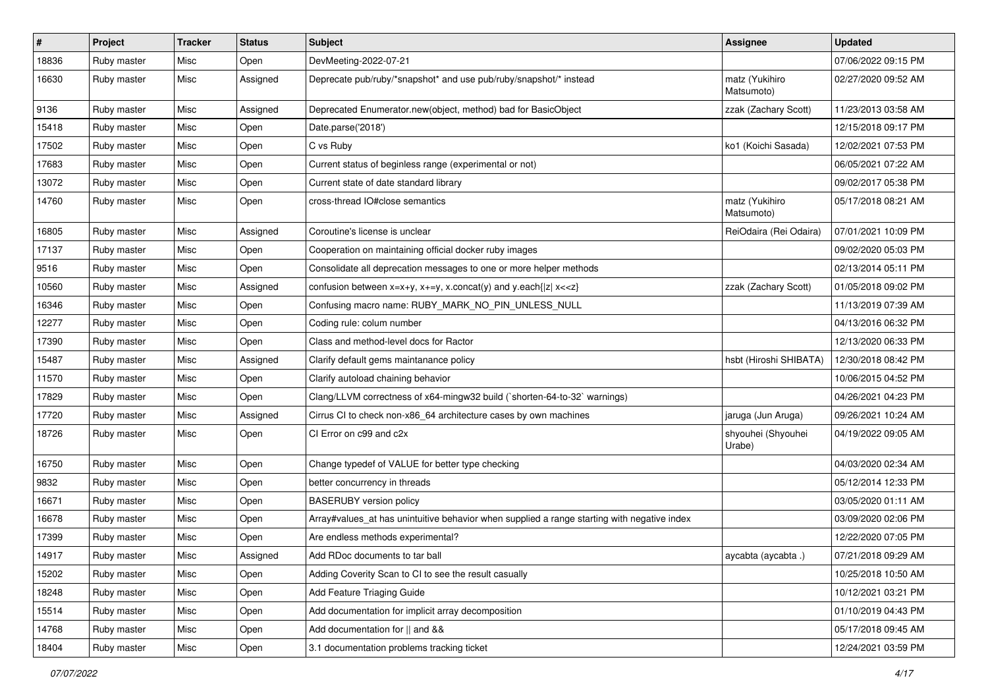| $\vert$ # | Project     | <b>Tracker</b> | <b>Status</b> | Subject                                                                                     | <b>Assignee</b>              | <b>Updated</b>      |
|-----------|-------------|----------------|---------------|---------------------------------------------------------------------------------------------|------------------------------|---------------------|
| 18836     | Ruby master | Misc           | Open          | DevMeeting-2022-07-21                                                                       |                              | 07/06/2022 09:15 PM |
| 16630     | Ruby master | Misc           | Assigned      | Deprecate pub/ruby/*snapshot* and use pub/ruby/snapshot/* instead                           | matz (Yukihiro<br>Matsumoto) | 02/27/2020 09:52 AM |
| 9136      | Ruby master | Misc           | Assigned      | Deprecated Enumerator.new(object, method) bad for BasicObject                               | zzak (Zachary Scott)         | 11/23/2013 03:58 AM |
| 15418     | Ruby master | Misc           | Open          | Date.parse('2018')                                                                          |                              | 12/15/2018 09:17 PM |
| 17502     | Ruby master | Misc           | Open          | C vs Ruby                                                                                   | ko1 (Koichi Sasada)          | 12/02/2021 07:53 PM |
| 17683     | Ruby master | Misc           | Open          | Current status of beginless range (experimental or not)                                     |                              | 06/05/2021 07:22 AM |
| 13072     | Ruby master | Misc           | Open          | Current state of date standard library                                                      |                              | 09/02/2017 05:38 PM |
| 14760     | Ruby master | Misc           | Open          | cross-thread IO#close semantics                                                             | matz (Yukihiro<br>Matsumoto) | 05/17/2018 08:21 AM |
| 16805     | Ruby master | Misc           | Assigned      | Coroutine's license is unclear                                                              | ReiOdaira (Rei Odaira)       | 07/01/2021 10:09 PM |
| 17137     | Ruby master | Misc           | Open          | Cooperation on maintaining official docker ruby images                                      |                              | 09/02/2020 05:03 PM |
| 9516      | Ruby master | Misc           | Open          | Consolidate all deprecation messages to one or more helper methods                          |                              | 02/13/2014 05:11 PM |
| 10560     | Ruby master | Misc           | Assigned      | confusion between $x=x+y$ , $x+=y$ , x.concat(y) and y.each{ z  $x<}$                       | zzak (Zachary Scott)         | 01/05/2018 09:02 PM |
| 16346     | Ruby master | Misc           | Open          | Confusing macro name: RUBY_MARK_NO_PIN_UNLESS_NULL                                          |                              | 11/13/2019 07:39 AM |
| 12277     | Ruby master | Misc           | Open          | Coding rule: colum number                                                                   |                              | 04/13/2016 06:32 PM |
| 17390     | Ruby master | Misc           | Open          | Class and method-level docs for Ractor                                                      |                              | 12/13/2020 06:33 PM |
| 15487     | Ruby master | Misc           | Assigned      | Clarify default gems maintanance policy                                                     | hsbt (Hiroshi SHIBATA)       | 12/30/2018 08:42 PM |
| 11570     | Ruby master | Misc           | Open          | Clarify autoload chaining behavior                                                          |                              | 10/06/2015 04:52 PM |
| 17829     | Ruby master | Misc           | Open          | Clang/LLVM correctness of x64-mingw32 build (`shorten-64-to-32` warnings)                   |                              | 04/26/2021 04:23 PM |
| 17720     | Ruby master | Misc           | Assigned      | Cirrus CI to check non-x86_64 architecture cases by own machines                            | jaruga (Jun Aruga)           | 09/26/2021 10:24 AM |
| 18726     | Ruby master | Misc           | Open          | CI Error on c99 and c2x                                                                     | shyouhei (Shyouhei<br>Urabe) | 04/19/2022 09:05 AM |
| 16750     | Ruby master | Misc           | Open          | Change typedef of VALUE for better type checking                                            |                              | 04/03/2020 02:34 AM |
| 9832      | Ruby master | Misc           | Open          | better concurrency in threads                                                               |                              | 05/12/2014 12:33 PM |
| 16671     | Ruby master | Misc           | Open          | <b>BASERUBY</b> version policy                                                              |                              | 03/05/2020 01:11 AM |
| 16678     | Ruby master | Misc           | Open          | Array#values_at has unintuitive behavior when supplied a range starting with negative index |                              | 03/09/2020 02:06 PM |
| 17399     | Ruby master | Misc           | Open          | Are endless methods experimental?                                                           |                              | 12/22/2020 07:05 PM |
| 14917     | Ruby master | Misc           | Assigned      | Add RDoc documents to tar ball                                                              | aycabta (aycabta .)          | 07/21/2018 09:29 AM |
| 15202     | Ruby master | Misc           | Open          | Adding Coverity Scan to CI to see the result casually                                       |                              | 10/25/2018 10:50 AM |
| 18248     | Ruby master | Misc           | Open          | Add Feature Triaging Guide                                                                  |                              | 10/12/2021 03:21 PM |
| 15514     | Ruby master | Misc           | Open          | Add documentation for implicit array decomposition                                          |                              | 01/10/2019 04:43 PM |
| 14768     | Ruby master | Misc           | Open          | Add documentation for    and &&                                                             |                              | 05/17/2018 09:45 AM |
| 18404     | Ruby master | Misc           | Open          | 3.1 documentation problems tracking ticket                                                  |                              | 12/24/2021 03:59 PM |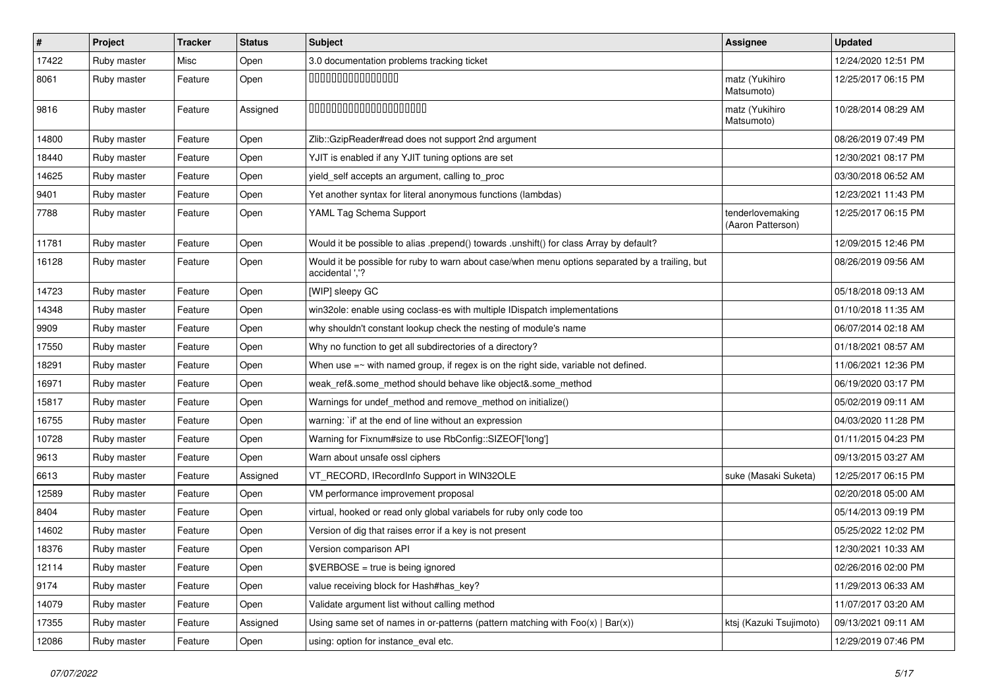| $\vert$ # | Project     | <b>Tracker</b> | <b>Status</b> | Subject                                                                                                            | Assignee                              | <b>Updated</b>      |
|-----------|-------------|----------------|---------------|--------------------------------------------------------------------------------------------------------------------|---------------------------------------|---------------------|
| 17422     | Ruby master | Misc           | Open          | 3.0 documentation problems tracking ticket                                                                         |                                       | 12/24/2020 12:51 PM |
| 8061      | Ruby master | Feature        | Open          | 000000000000000                                                                                                    | matz (Yukihiro<br>Matsumoto)          | 12/25/2017 06:15 PM |
| 9816      | Ruby master | Feature        | Assigned      | 00000000000000000000                                                                                               | matz (Yukihiro<br>Matsumoto)          | 10/28/2014 08:29 AM |
| 14800     | Ruby master | Feature        | Open          | Zlib::GzipReader#read does not support 2nd argument                                                                |                                       | 08/26/2019 07:49 PM |
| 18440     | Ruby master | Feature        | Open          | YJIT is enabled if any YJIT tuning options are set                                                                 |                                       | 12/30/2021 08:17 PM |
| 14625     | Ruby master | Feature        | Open          | yield_self accepts an argument, calling to_proc                                                                    |                                       | 03/30/2018 06:52 AM |
| 9401      | Ruby master | Feature        | Open          | Yet another syntax for literal anonymous functions (lambdas)                                                       |                                       | 12/23/2021 11:43 PM |
| 7788      | Ruby master | Feature        | Open          | YAML Tag Schema Support                                                                                            | tenderlovemaking<br>(Aaron Patterson) | 12/25/2017 06:15 PM |
| 11781     | Ruby master | Feature        | Open          | Would it be possible to alias .prepend() towards .unshift() for class Array by default?                            |                                       | 12/09/2015 12:46 PM |
| 16128     | Ruby master | Feature        | Open          | Would it be possible for ruby to warn about case/when menu options separated by a trailing, but<br>accidental ','? |                                       | 08/26/2019 09:56 AM |
| 14723     | Ruby master | Feature        | Open          | [WIP] sleepy GC                                                                                                    |                                       | 05/18/2018 09:13 AM |
| 14348     | Ruby master | Feature        | Open          | win32ole: enable using coclass-es with multiple IDispatch implementations                                          |                                       | 01/10/2018 11:35 AM |
| 9909      | Ruby master | Feature        | Open          | why shouldn't constant lookup check the nesting of module's name                                                   |                                       | 06/07/2014 02:18 AM |
| 17550     | Ruby master | Feature        | Open          | Why no function to get all subdirectories of a directory?                                                          |                                       | 01/18/2021 08:57 AM |
| 18291     | Ruby master | Feature        | Open          | When use $=\sim$ with named group, if regex is on the right side, variable not defined.                            |                                       | 11/06/2021 12:36 PM |
| 16971     | Ruby master | Feature        | Open          | weak_ref&.some_method should behave like object&.some_method                                                       |                                       | 06/19/2020 03:17 PM |
| 15817     | Ruby master | Feature        | Open          | Warnings for undef_method and remove_method on initialize()                                                        |                                       | 05/02/2019 09:11 AM |
| 16755     | Ruby master | Feature        | Open          | warning: `if' at the end of line without an expression                                                             |                                       | 04/03/2020 11:28 PM |
| 10728     | Ruby master | Feature        | Open          | Warning for Fixnum#size to use RbConfig::SIZEOF['long']                                                            |                                       | 01/11/2015 04:23 PM |
| 9613      | Ruby master | Feature        | Open          | Warn about unsafe ossl ciphers                                                                                     |                                       | 09/13/2015 03:27 AM |
| 6613      | Ruby master | Feature        | Assigned      | VT_RECORD, IRecordInfo Support in WIN32OLE                                                                         | suke (Masaki Suketa)                  | 12/25/2017 06:15 PM |
| 12589     | Ruby master | Feature        | Open          | VM performance improvement proposal                                                                                |                                       | 02/20/2018 05:00 AM |
| 8404      | Ruby master | Feature        | Open          | virtual, hooked or read only global variabels for ruby only code too                                               |                                       | 05/14/2013 09:19 PM |
| 14602     | Ruby master | Feature        | Open          | Version of dig that raises error if a key is not present                                                           |                                       | 05/25/2022 12:02 PM |
| 18376     | Ruby master | Feature        | Open          | Version comparison API                                                                                             |                                       | 12/30/2021 10:33 AM |
| 12114     | Ruby master | Feature        | Open          | \$VERBOSE = true is being ignored                                                                                  |                                       | 02/26/2016 02:00 PM |
| 9174      | Ruby master | Feature        | Open          | value receiving block for Hash#has_key?                                                                            |                                       | 11/29/2013 06:33 AM |
| 14079     | Ruby master | Feature        | Open          | Validate argument list without calling method                                                                      |                                       | 11/07/2017 03:20 AM |
| 17355     | Ruby master | Feature        | Assigned      | Using same set of names in or-patterns (pattern matching with $Foo(x)   Bar(x)$ )                                  | ktsj (Kazuki Tsujimoto)               | 09/13/2021 09:11 AM |
| 12086     | Ruby master | Feature        | Open          | using: option for instance_eval etc.                                                                               |                                       | 12/29/2019 07:46 PM |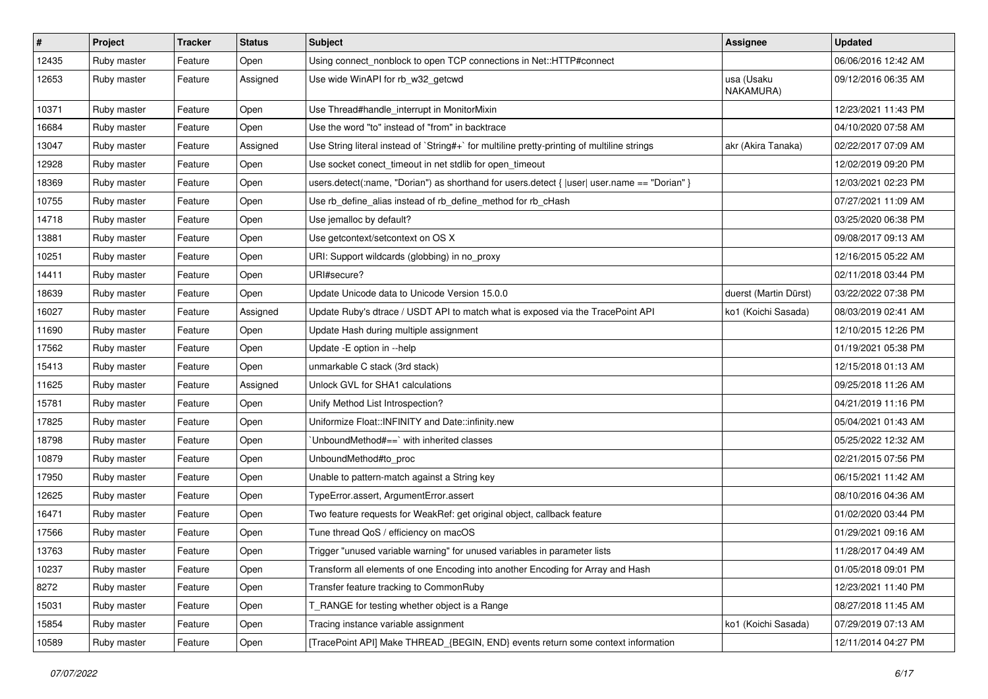| $\sharp$ | <b>Project</b> | <b>Tracker</b> | <b>Status</b> | Subject                                                                                        | <b>Assignee</b>         | <b>Updated</b>      |
|----------|----------------|----------------|---------------|------------------------------------------------------------------------------------------------|-------------------------|---------------------|
| 12435    | Ruby master    | Feature        | Open          | Using connect_nonblock to open TCP connections in Net::HTTP#connect                            |                         | 06/06/2016 12:42 AM |
| 12653    | Ruby master    | Feature        | Assigned      | Use wide WinAPI for rb_w32_getcwd                                                              | usa (Usaku<br>NAKAMURA) | 09/12/2016 06:35 AM |
| 10371    | Ruby master    | Feature        | Open          | Use Thread#handle_interrupt in MonitorMixin                                                    |                         | 12/23/2021 11:43 PM |
| 16684    | Ruby master    | Feature        | Open          | Use the word "to" instead of "from" in backtrace                                               |                         | 04/10/2020 07:58 AM |
| 13047    | Ruby master    | Feature        | Assigned      | Use String literal instead of `String#+` for multiline pretty-printing of multiline strings    | akr (Akira Tanaka)      | 02/22/2017 07:09 AM |
| 12928    | Ruby master    | Feature        | Open          | Use socket conect_timeout in net stdlib for open_timeout                                       |                         | 12/02/2019 09:20 PM |
| 18369    | Ruby master    | Feature        | Open          | users.detect(:name, "Dorian") as shorthand for users.detect { $ user $ user.name == "Dorian" } |                         | 12/03/2021 02:23 PM |
| 10755    | Ruby master    | Feature        | Open          | Use rb_define_alias instead of rb_define_method for rb_cHash                                   |                         | 07/27/2021 11:09 AM |
| 14718    | Ruby master    | Feature        | Open          | Use jemalloc by default?                                                                       |                         | 03/25/2020 06:38 PM |
| 13881    | Ruby master    | Feature        | Open          | Use getcontext/setcontext on OS X                                                              |                         | 09/08/2017 09:13 AM |
| 10251    | Ruby master    | Feature        | Open          | URI: Support wildcards (globbing) in no_proxy                                                  |                         | 12/16/2015 05:22 AM |
| 14411    | Ruby master    | Feature        | Open          | URI#secure?                                                                                    |                         | 02/11/2018 03:44 PM |
| 18639    | Ruby master    | Feature        | Open          | Update Unicode data to Unicode Version 15.0.0                                                  | duerst (Martin Dürst)   | 03/22/2022 07:38 PM |
| 16027    | Ruby master    | Feature        | Assigned      | Update Ruby's dtrace / USDT API to match what is exposed via the TracePoint API                | ko1 (Koichi Sasada)     | 08/03/2019 02:41 AM |
| 11690    | Ruby master    | Feature        | Open          | Update Hash during multiple assignment                                                         |                         | 12/10/2015 12:26 PM |
| 17562    | Ruby master    | Feature        | Open          | Update -E option in --help                                                                     |                         | 01/19/2021 05:38 PM |
| 15413    | Ruby master    | Feature        | Open          | unmarkable C stack (3rd stack)                                                                 |                         | 12/15/2018 01:13 AM |
| 11625    | Ruby master    | Feature        | Assigned      | Unlock GVL for SHA1 calculations                                                               |                         | 09/25/2018 11:26 AM |
| 15781    | Ruby master    | Feature        | Open          | Unify Method List Introspection?                                                               |                         | 04/21/2019 11:16 PM |
| 17825    | Ruby master    | Feature        | Open          | Uniformize Float::INFINITY and Date::infinity.new                                              |                         | 05/04/2021 01:43 AM |
| 18798    | Ruby master    | Feature        | Open          | 'UnboundMethod#==' with inherited classes                                                      |                         | 05/25/2022 12:32 AM |
| 10879    | Ruby master    | Feature        | Open          | UnboundMethod#to_proc                                                                          |                         | 02/21/2015 07:56 PM |
| 17950    | Ruby master    | Feature        | Open          | Unable to pattern-match against a String key                                                   |                         | 06/15/2021 11:42 AM |
| 12625    | Ruby master    | Feature        | Open          | TypeError.assert, ArgumentError.assert                                                         |                         | 08/10/2016 04:36 AM |
| 16471    | Ruby master    | Feature        | Open          | Two feature requests for WeakRef: get original object, callback feature                        |                         | 01/02/2020 03:44 PM |
| 17566    | Ruby master    | Feature        | Open          | Tune thread QoS / efficiency on macOS                                                          |                         | 01/29/2021 09:16 AM |
| 13763    | Ruby master    | Feature        | Open          | Trigger "unused variable warning" for unused variables in parameter lists                      |                         | 11/28/2017 04:49 AM |
| 10237    | Ruby master    | Feature        | Open          | Transform all elements of one Encoding into another Encoding for Array and Hash                |                         | 01/05/2018 09:01 PM |
| 8272     | Ruby master    | Feature        | Open          | Transfer feature tracking to CommonRuby                                                        |                         | 12/23/2021 11:40 PM |
| 15031    | Ruby master    | Feature        | Open          | T_RANGE for testing whether object is a Range                                                  |                         | 08/27/2018 11:45 AM |
| 15854    | Ruby master    | Feature        | Open          | Tracing instance variable assignment                                                           | ko1 (Koichi Sasada)     | 07/29/2019 07:13 AM |
| 10589    | Ruby master    | Feature        | Open          | [TracePoint API] Make THREAD_{BEGIN, END} events return some context information               |                         | 12/11/2014 04:27 PM |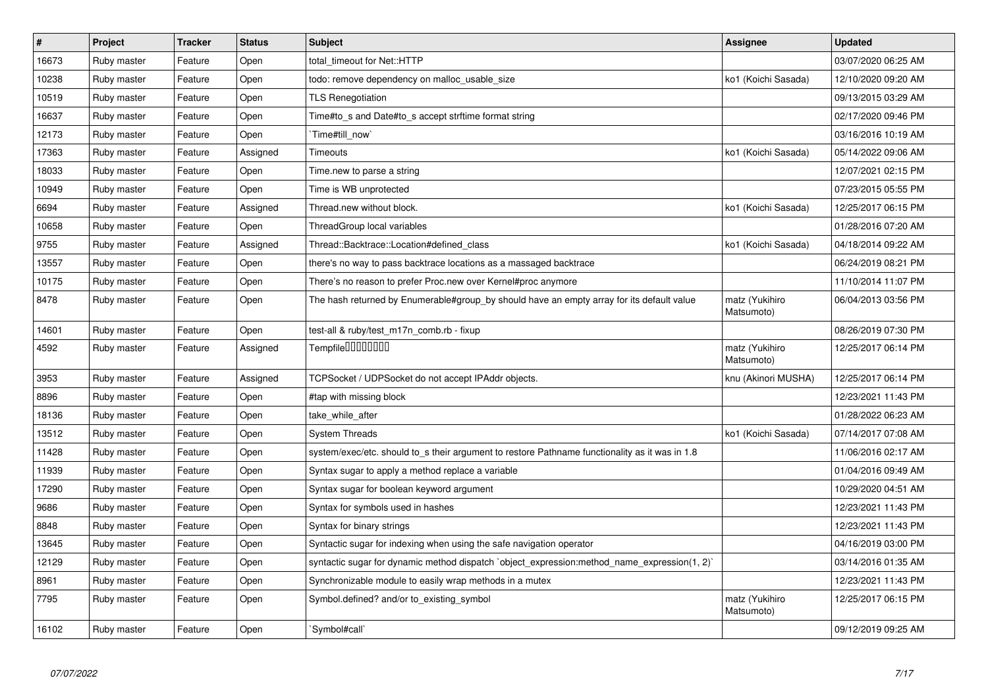| $\pmb{\#}$ | <b>Project</b> | <b>Tracker</b> | <b>Status</b> | <b>Subject</b>                                                                                 | <b>Assignee</b>              | <b>Updated</b>      |
|------------|----------------|----------------|---------------|------------------------------------------------------------------------------------------------|------------------------------|---------------------|
| 16673      | Ruby master    | Feature        | Open          | total_timeout for Net::HTTP                                                                    |                              | 03/07/2020 06:25 AM |
| 10238      | Ruby master    | Feature        | Open          | todo: remove dependency on malloc usable size                                                  | ko1 (Koichi Sasada)          | 12/10/2020 09:20 AM |
| 10519      | Ruby master    | Feature        | Open          | <b>TLS Renegotiation</b>                                                                       |                              | 09/13/2015 03:29 AM |
| 16637      | Ruby master    | Feature        | Open          | Time#to s and Date#to s accept strftime format string                                          |                              | 02/17/2020 09:46 PM |
| 12173      | Ruby master    | Feature        | Open          | Time#till_now                                                                                  |                              | 03/16/2016 10:19 AM |
| 17363      | Ruby master    | Feature        | Assigned      | Timeouts                                                                                       | ko1 (Koichi Sasada)          | 05/14/2022 09:06 AM |
| 18033      | Ruby master    | Feature        | Open          | Time.new to parse a string                                                                     |                              | 12/07/2021 02:15 PM |
| 10949      | Ruby master    | Feature        | Open          | Time is WB unprotected                                                                         |                              | 07/23/2015 05:55 PM |
| 6694       | Ruby master    | Feature        | Assigned      | Thread.new without block.                                                                      | ko1 (Koichi Sasada)          | 12/25/2017 06:15 PM |
| 10658      | Ruby master    | Feature        | Open          | ThreadGroup local variables                                                                    |                              | 01/28/2016 07:20 AM |
| 9755       | Ruby master    | Feature        | Assigned      | Thread::Backtrace::Location#defined class                                                      | ko1 (Koichi Sasada)          | 04/18/2014 09:22 AM |
| 13557      | Ruby master    | Feature        | Open          | there's no way to pass backtrace locations as a massaged backtrace                             |                              | 06/24/2019 08:21 PM |
| 10175      | Ruby master    | Feature        | Open          | There's no reason to prefer Proc.new over Kernel#proc anymore                                  |                              | 11/10/2014 11:07 PM |
| 8478       | Ruby master    | Feature        | Open          | The hash returned by Enumerable#group_by should have an empty array for its default value      | matz (Yukihiro<br>Matsumoto) | 06/04/2013 03:56 PM |
| 14601      | Ruby master    | Feature        | Open          | test-all & ruby/test_m17n_comb.rb - fixup                                                      |                              | 08/26/2019 07:30 PM |
| 4592       | Ruby master    | Feature        | Assigned      | Tempfile0000000                                                                                | matz (Yukihiro<br>Matsumoto) | 12/25/2017 06:14 PM |
| 3953       | Ruby master    | Feature        | Assigned      | TCPSocket / UDPSocket do not accept IPAddr objects.                                            | knu (Akinori MUSHA)          | 12/25/2017 06:14 PM |
| 8896       | Ruby master    | Feature        | Open          | #tap with missing block                                                                        |                              | 12/23/2021 11:43 PM |
| 18136      | Ruby master    | Feature        | Open          | take_while_after                                                                               |                              | 01/28/2022 06:23 AM |
| 13512      | Ruby master    | Feature        | Open          | <b>System Threads</b>                                                                          | ko1 (Koichi Sasada)          | 07/14/2017 07:08 AM |
| 11428      | Ruby master    | Feature        | Open          | system/exec/etc. should to_s their argument to restore Pathname functionality as it was in 1.8 |                              | 11/06/2016 02:17 AM |
| 11939      | Ruby master    | Feature        | Open          | Syntax sugar to apply a method replace a variable                                              |                              | 01/04/2016 09:49 AM |
| 17290      | Ruby master    | Feature        | Open          | Syntax sugar for boolean keyword argument                                                      |                              | 10/29/2020 04:51 AM |
| 9686       | Ruby master    | Feature        | Open          | Syntax for symbols used in hashes                                                              |                              | 12/23/2021 11:43 PM |
| 8848       | Ruby master    | Feature        | Open          | Syntax for binary strings                                                                      |                              | 12/23/2021 11:43 PM |
| 13645      | Ruby master    | Feature        | Open          | Syntactic sugar for indexing when using the safe navigation operator                           |                              | 04/16/2019 03:00 PM |
| 12129      | Ruby master    | Feature        | Open          | syntactic sugar for dynamic method dispatch `object_expression:method_name_expression(1, 2)`   |                              | 03/14/2016 01:35 AM |
| 8961       | Ruby master    | Feature        | Open          | Synchronizable module to easily wrap methods in a mutex                                        |                              | 12/23/2021 11:43 PM |
| 7795       | Ruby master    | Feature        | Open          | Symbol.defined? and/or to existing symbol                                                      | matz (Yukihiro<br>Matsumoto) | 12/25/2017 06:15 PM |
| 16102      | Ruby master    | Feature        | Open          | Symbol#call`                                                                                   |                              | 09/12/2019 09:25 AM |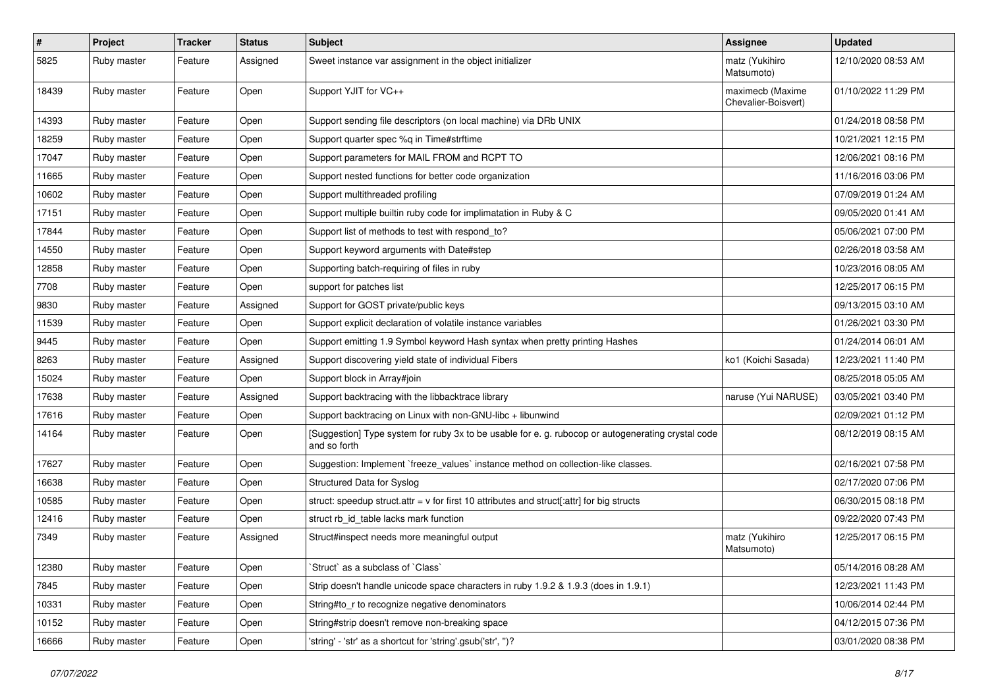| $\sharp$ | Project     | <b>Tracker</b> | <b>Status</b> | <b>Subject</b>                                                                                                     | <b>Assignee</b>                         | <b>Updated</b>      |
|----------|-------------|----------------|---------------|--------------------------------------------------------------------------------------------------------------------|-----------------------------------------|---------------------|
| 5825     | Ruby master | Feature        | Assigned      | Sweet instance var assignment in the object initializer                                                            | matz (Yukihiro<br>Matsumoto)            | 12/10/2020 08:53 AM |
| 18439    | Ruby master | Feature        | Open          | Support YJIT for VC++                                                                                              | maximecb (Maxime<br>Chevalier-Boisvert) | 01/10/2022 11:29 PM |
| 14393    | Ruby master | Feature        | Open          | Support sending file descriptors (on local machine) via DRb UNIX                                                   |                                         | 01/24/2018 08:58 PM |
| 18259    | Ruby master | Feature        | Open          | Support quarter spec %q in Time#strftime                                                                           |                                         | 10/21/2021 12:15 PM |
| 17047    | Ruby master | Feature        | Open          | Support parameters for MAIL FROM and RCPT TO                                                                       |                                         | 12/06/2021 08:16 PM |
| 11665    | Ruby master | Feature        | Open          | Support nested functions for better code organization                                                              |                                         | 11/16/2016 03:06 PM |
| 10602    | Ruby master | Feature        | Open          | Support multithreaded profiling                                                                                    |                                         | 07/09/2019 01:24 AM |
| 17151    | Ruby master | Feature        | Open          | Support multiple builtin ruby code for implimatation in Ruby & C                                                   |                                         | 09/05/2020 01:41 AM |
| 17844    | Ruby master | Feature        | Open          | Support list of methods to test with respond_to?                                                                   |                                         | 05/06/2021 07:00 PM |
| 14550    | Ruby master | Feature        | Open          | Support keyword arguments with Date#step                                                                           |                                         | 02/26/2018 03:58 AM |
| 12858    | Ruby master | Feature        | Open          | Supporting batch-requiring of files in ruby                                                                        |                                         | 10/23/2016 08:05 AM |
| 7708     | Ruby master | Feature        | Open          | support for patches list                                                                                           |                                         | 12/25/2017 06:15 PM |
| 9830     | Ruby master | Feature        | Assigned      | Support for GOST private/public keys                                                                               |                                         | 09/13/2015 03:10 AM |
| 11539    | Ruby master | Feature        | Open          | Support explicit declaration of volatile instance variables                                                        |                                         | 01/26/2021 03:30 PM |
| 9445     | Ruby master | Feature        | Open          | Support emitting 1.9 Symbol keyword Hash syntax when pretty printing Hashes                                        |                                         | 01/24/2014 06:01 AM |
| 8263     | Ruby master | Feature        | Assigned      | Support discovering yield state of individual Fibers                                                               | ko1 (Koichi Sasada)                     | 12/23/2021 11:40 PM |
| 15024    | Ruby master | Feature        | Open          | Support block in Array#join                                                                                        |                                         | 08/25/2018 05:05 AM |
| 17638    | Ruby master | Feature        | Assigned      | Support backtracing with the libbacktrace library                                                                  | naruse (Yui NARUSE)                     | 03/05/2021 03:40 PM |
| 17616    | Ruby master | Feature        | Open          | Support backtracing on Linux with non-GNU-libc + libunwind                                                         |                                         | 02/09/2021 01:12 PM |
| 14164    | Ruby master | Feature        | Open          | [Suggestion] Type system for ruby 3x to be usable for e. g. rubocop or autogenerating crystal code<br>and so forth |                                         | 08/12/2019 08:15 AM |
| 17627    | Ruby master | Feature        | Open          | Suggestion: Implement `freeze_values` instance method on collection-like classes.                                  |                                         | 02/16/2021 07:58 PM |
| 16638    | Ruby master | Feature        | Open          | Structured Data for Syslog                                                                                         |                                         | 02/17/2020 07:06 PM |
| 10585    | Ruby master | Feature        | Open          | struct: speedup struct.attr = $v$ for first 10 attributes and struct[:attr] for big structs                        |                                         | 06/30/2015 08:18 PM |
| 12416    | Ruby master | Feature        | Open          | struct rb id table lacks mark function                                                                             |                                         | 09/22/2020 07:43 PM |
| 7349     | Ruby master | Feature        | Assigned      | Struct#inspect needs more meaningful output                                                                        | matz (Yukihiro<br>Matsumoto)            | 12/25/2017 06:15 PM |
| 12380    | Ruby master | Feature        | Open          | 'Struct' as a subclass of 'Class'                                                                                  |                                         | 05/14/2016 08:28 AM |
| 7845     | Ruby master | Feature        | Open          | Strip doesn't handle unicode space characters in ruby 1.9.2 & 1.9.3 (does in 1.9.1)                                |                                         | 12/23/2021 11:43 PM |
| 10331    | Ruby master | Feature        | Open          | String#to r to recognize negative denominators                                                                     |                                         | 10/06/2014 02:44 PM |
| 10152    | Ruby master | Feature        | Open          | String#strip doesn't remove non-breaking space                                                                     |                                         | 04/12/2015 07:36 PM |
| 16666    | Ruby master | Feature        | Open          | 'string' - 'str' as a shortcut for 'string'.gsub('str', ")?                                                        |                                         | 03/01/2020 08:38 PM |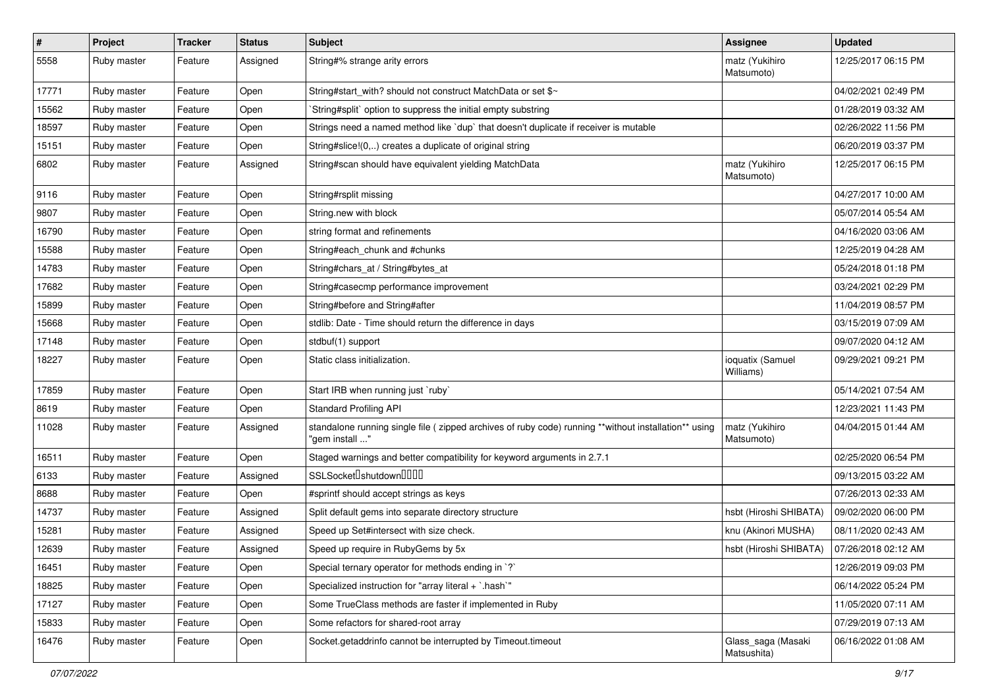| $\pmb{\#}$ | Project     | <b>Tracker</b> | <b>Status</b> | Subject                                                                                                                 | <b>Assignee</b>                   | <b>Updated</b>      |
|------------|-------------|----------------|---------------|-------------------------------------------------------------------------------------------------------------------------|-----------------------------------|---------------------|
| 5558       | Ruby master | Feature        | Assigned      | String#% strange arity errors                                                                                           | matz (Yukihiro<br>Matsumoto)      | 12/25/2017 06:15 PM |
| 17771      | Ruby master | Feature        | Open          | String#start with? should not construct MatchData or set \$~                                                            |                                   | 04/02/2021 02:49 PM |
| 15562      | Ruby master | Feature        | Open          | `String#split` option to suppress the initial empty substring                                                           |                                   | 01/28/2019 03:32 AM |
| 18597      | Ruby master | Feature        | Open          | Strings need a named method like 'dup' that doesn't duplicate if receiver is mutable                                    |                                   | 02/26/2022 11:56 PM |
| 15151      | Ruby master | Feature        | Open          | String#slice!(0,) creates a duplicate of original string                                                                |                                   | 06/20/2019 03:37 PM |
| 6802       | Ruby master | Feature        | Assigned      | String#scan should have equivalent yielding MatchData                                                                   | matz (Yukihiro<br>Matsumoto)      | 12/25/2017 06:15 PM |
| 9116       | Ruby master | Feature        | Open          | String#rsplit missing                                                                                                   |                                   | 04/27/2017 10:00 AM |
| 9807       | Ruby master | Feature        | Open          | String.new with block                                                                                                   |                                   | 05/07/2014 05:54 AM |
| 16790      | Ruby master | Feature        | Open          | string format and refinements                                                                                           |                                   | 04/16/2020 03:06 AM |
| 15588      | Ruby master | Feature        | Open          | String#each_chunk and #chunks                                                                                           |                                   | 12/25/2019 04:28 AM |
| 14783      | Ruby master | Feature        | Open          | String#chars_at / String#bytes_at                                                                                       |                                   | 05/24/2018 01:18 PM |
| 17682      | Ruby master | Feature        | Open          | String#casecmp performance improvement                                                                                  |                                   | 03/24/2021 02:29 PM |
| 15899      | Ruby master | Feature        | Open          | String#before and String#after                                                                                          |                                   | 11/04/2019 08:57 PM |
| 15668      | Ruby master | Feature        | Open          | stdlib: Date - Time should return the difference in days                                                                |                                   | 03/15/2019 07:09 AM |
| 17148      | Ruby master | Feature        | Open          | stdbuf(1) support                                                                                                       |                                   | 09/07/2020 04:12 AM |
| 18227      | Ruby master | Feature        | Open          | Static class initialization.                                                                                            | ioquatix (Samuel<br>Williams)     | 09/29/2021 09:21 PM |
| 17859      | Ruby master | Feature        | Open          | Start IRB when running just `ruby`                                                                                      |                                   | 05/14/2021 07:54 AM |
| 8619       | Ruby master | Feature        | Open          | <b>Standard Profiling API</b>                                                                                           |                                   | 12/23/2021 11:43 PM |
| 11028      | Ruby master | Feature        | Assigned      | standalone running single file ( zipped archives of ruby code) running **without installation** using<br>"gem install " | matz (Yukihiro<br>Matsumoto)      | 04/04/2015 01:44 AM |
| 16511      | Ruby master | Feature        | Open          | Staged warnings and better compatibility for keyword arguments in 2.7.1                                                 |                                   | 02/25/2020 06:54 PM |
| 6133       | Ruby master | Feature        | Assigned      | SSLSocket <sup>[</sup> shutdown <sup>[11]</sup>                                                                         |                                   | 09/13/2015 03:22 AM |
| 8688       | Ruby master | Feature        | Open          | #sprintf should accept strings as keys                                                                                  |                                   | 07/26/2013 02:33 AM |
| 14737      | Ruby master | Feature        | Assigned      | Split default gems into separate directory structure                                                                    | hsbt (Hiroshi SHIBATA)            | 09/02/2020 06:00 PM |
| 15281      | Ruby master | Feature        | Assigned      | Speed up Set#intersect with size check.                                                                                 | knu (Akinori MUSHA)               | 08/11/2020 02:43 AM |
| 12639      | Ruby master | Feature        | Assigned      | Speed up require in RubyGems by 5x                                                                                      | hsbt (Hiroshi SHIBATA)            | 07/26/2018 02:12 AM |
| 16451      | Ruby master | Feature        | Open          | Special ternary operator for methods ending in `?`                                                                      |                                   | 12/26/2019 09:03 PM |
| 18825      | Ruby master | Feature        | Open          | Specialized instruction for "array literal + `.hash`"                                                                   |                                   | 06/14/2022 05:24 PM |
| 17127      | Ruby master | Feature        | Open          | Some TrueClass methods are faster if implemented in Ruby                                                                |                                   | 11/05/2020 07:11 AM |
| 15833      | Ruby master | Feature        | Open          | Some refactors for shared-root array                                                                                    |                                   | 07/29/2019 07:13 AM |
| 16476      | Ruby master | Feature        | Open          | Socket.getaddrinfo cannot be interrupted by Timeout.timeout                                                             | Glass_saga (Masaki<br>Matsushita) | 06/16/2022 01:08 AM |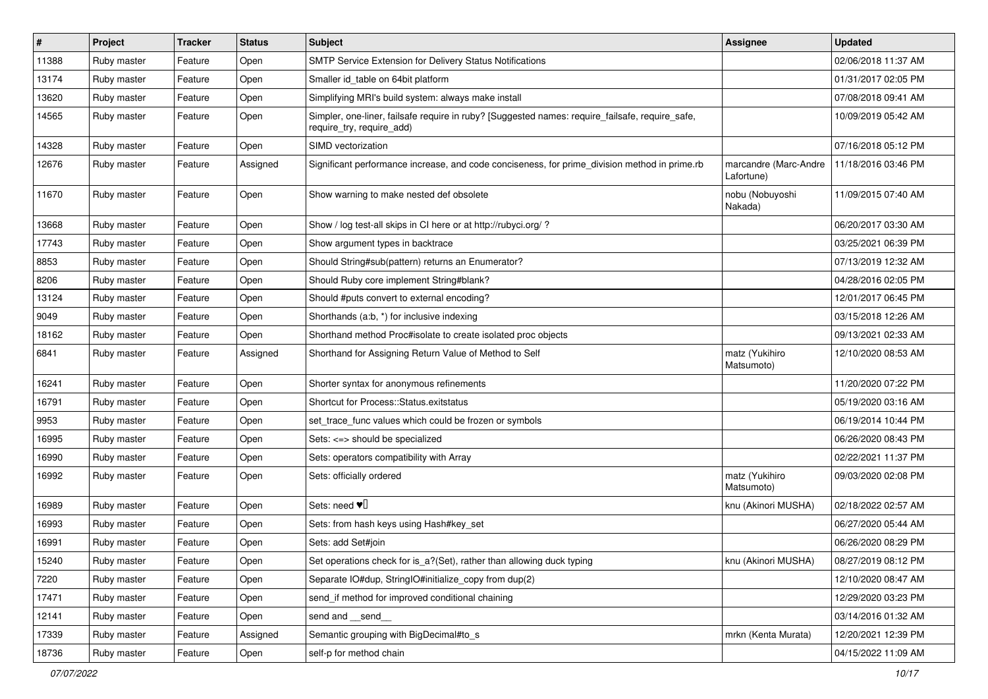| #     | Project     | <b>Tracker</b> | <b>Status</b> | <b>Subject</b>                                                                                                               | <b>Assignee</b>                     | <b>Updated</b>      |
|-------|-------------|----------------|---------------|------------------------------------------------------------------------------------------------------------------------------|-------------------------------------|---------------------|
| 11388 | Ruby master | Feature        | Open          | SMTP Service Extension for Delivery Status Notifications                                                                     |                                     | 02/06/2018 11:37 AM |
| 13174 | Ruby master | Feature        | Open          | Smaller id table on 64bit platform                                                                                           |                                     | 01/31/2017 02:05 PM |
| 13620 | Ruby master | Feature        | Open          | Simplifying MRI's build system: always make install                                                                          |                                     | 07/08/2018 09:41 AM |
| 14565 | Ruby master | Feature        | Open          | Simpler, one-liner, failsafe require in ruby? [Suggested names: require_failsafe, require_safe,<br>require_try, require_add) |                                     | 10/09/2019 05:42 AM |
| 14328 | Ruby master | Feature        | Open          | SIMD vectorization                                                                                                           |                                     | 07/16/2018 05:12 PM |
| 12676 | Ruby master | Feature        | Assigned      | Significant performance increase, and code conciseness, for prime_division method in prime.rb                                | marcandre (Marc-Andre<br>Lafortune) | 11/18/2016 03:46 PM |
| 11670 | Ruby master | Feature        | Open          | Show warning to make nested def obsolete                                                                                     | nobu (Nobuyoshi<br>Nakada)          | 11/09/2015 07:40 AM |
| 13668 | Ruby master | Feature        | Open          | Show / log test-all skips in CI here or at http://rubyci.org/ ?                                                              |                                     | 06/20/2017 03:30 AM |
| 17743 | Ruby master | Feature        | Open          | Show argument types in backtrace                                                                                             |                                     | 03/25/2021 06:39 PM |
| 8853  | Ruby master | Feature        | Open          | Should String#sub(pattern) returns an Enumerator?                                                                            |                                     | 07/13/2019 12:32 AM |
| 8206  | Ruby master | Feature        | Open          | Should Ruby core implement String#blank?                                                                                     |                                     | 04/28/2016 02:05 PM |
| 13124 | Ruby master | Feature        | Open          | Should #puts convert to external encoding?                                                                                   |                                     | 12/01/2017 06:45 PM |
| 9049  | Ruby master | Feature        | Open          | Shorthands (a:b, *) for inclusive indexing                                                                                   |                                     | 03/15/2018 12:26 AM |
| 18162 | Ruby master | Feature        | Open          | Shorthand method Proc#isolate to create isolated proc objects                                                                |                                     | 09/13/2021 02:33 AM |
| 6841  | Ruby master | Feature        | Assigned      | Shorthand for Assigning Return Value of Method to Self                                                                       | matz (Yukihiro<br>Matsumoto)        | 12/10/2020 08:53 AM |
| 16241 | Ruby master | Feature        | Open          | Shorter syntax for anonymous refinements                                                                                     |                                     | 11/20/2020 07:22 PM |
| 16791 | Ruby master | Feature        | Open          | Shortcut for Process::Status.exitstatus                                                                                      |                                     | 05/19/2020 03:16 AM |
| 9953  | Ruby master | Feature        | Open          | set_trace_func values which could be frozen or symbols                                                                       |                                     | 06/19/2014 10:44 PM |
| 16995 | Ruby master | Feature        | Open          | Sets: <=> should be specialized                                                                                              |                                     | 06/26/2020 08:43 PM |
| 16990 | Ruby master | Feature        | Open          | Sets: operators compatibility with Array                                                                                     |                                     | 02/22/2021 11:37 PM |
| 16992 | Ruby master | Feature        | Open          | Sets: officially ordered                                                                                                     | matz (Yukihiro<br>Matsumoto)        | 09/03/2020 02:08 PM |
| 16989 | Ruby master | Feature        | Open          | Sets: need $\Psi$ <sup>[]</sup>                                                                                              | knu (Akinori MUSHA)                 | 02/18/2022 02:57 AM |
| 16993 | Ruby master | Feature        | Open          | Sets: from hash keys using Hash#key_set                                                                                      |                                     | 06/27/2020 05:44 AM |
| 16991 | Ruby master | Feature        | Open          | Sets: add Set#join                                                                                                           |                                     | 06/26/2020 08:29 PM |
| 15240 | Ruby master | Feature        | Open          | Set operations check for is_a?(Set), rather than allowing duck typing                                                        | knu (Akinori MUSHA)                 | 08/27/2019 08:12 PM |
| 7220  | Ruby master | Feature        | Open          | Separate IO#dup, StringIO#initialize_copy from dup(2)                                                                        |                                     | 12/10/2020 08:47 AM |
| 17471 | Ruby master | Feature        | Open          | send_if method for improved conditional chaining                                                                             |                                     | 12/29/2020 03:23 PM |
| 12141 | Ruby master | Feature        | Open          | send and __send__                                                                                                            |                                     | 03/14/2016 01:32 AM |
| 17339 | Ruby master | Feature        | Assigned      | Semantic grouping with BigDecimal#to_s                                                                                       | mrkn (Kenta Murata)                 | 12/20/2021 12:39 PM |
| 18736 | Ruby master | Feature        | Open          | self-p for method chain                                                                                                      |                                     | 04/15/2022 11:09 AM |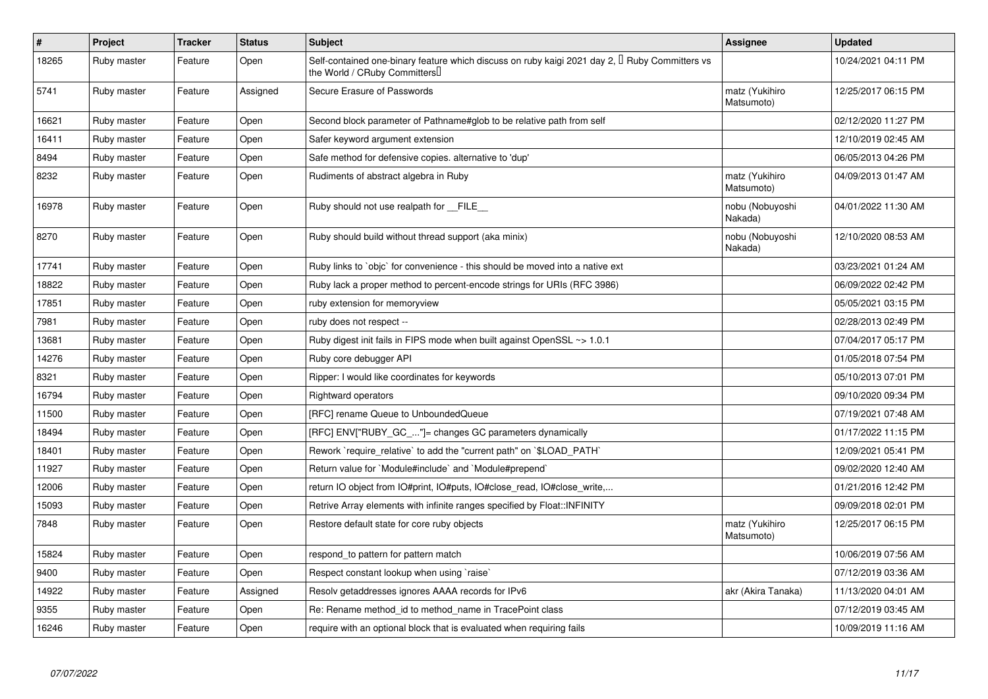| $\pmb{\#}$ | Project     | <b>Tracker</b> | <b>Status</b> | <b>Subject</b>                                                                                                                      | <b>Assignee</b>              | <b>Updated</b>      |
|------------|-------------|----------------|---------------|-------------------------------------------------------------------------------------------------------------------------------------|------------------------------|---------------------|
| 18265      | Ruby master | Feature        | Open          | Self-contained one-binary feature which discuss on ruby kaigi 2021 day 2, $\Box$ Ruby Committers vs<br>the World / CRuby Committers |                              | 10/24/2021 04:11 PM |
| 5741       | Ruby master | Feature        | Assigned      | Secure Erasure of Passwords                                                                                                         | matz (Yukihiro<br>Matsumoto) | 12/25/2017 06:15 PM |
| 16621      | Ruby master | Feature        | Open          | Second block parameter of Pathname#glob to be relative path from self                                                               |                              | 02/12/2020 11:27 PM |
| 16411      | Ruby master | Feature        | Open          | Safer keyword argument extension                                                                                                    |                              | 12/10/2019 02:45 AM |
| 8494       | Ruby master | Feature        | Open          | Safe method for defensive copies. alternative to 'dup'                                                                              |                              | 06/05/2013 04:26 PM |
| 8232       | Ruby master | Feature        | Open          | Rudiments of abstract algebra in Ruby                                                                                               | matz (Yukihiro<br>Matsumoto) | 04/09/2013 01:47 AM |
| 16978      | Ruby master | Feature        | Open          | Ruby should not use realpath for __FILE__                                                                                           | nobu (Nobuyoshi<br>Nakada)   | 04/01/2022 11:30 AM |
| 8270       | Ruby master | Feature        | Open          | Ruby should build without thread support (aka minix)                                                                                | nobu (Nobuyoshi<br>Nakada)   | 12/10/2020 08:53 AM |
| 17741      | Ruby master | Feature        | Open          | Ruby links to `objc` for convenience - this should be moved into a native ext                                                       |                              | 03/23/2021 01:24 AM |
| 18822      | Ruby master | Feature        | Open          | Ruby lack a proper method to percent-encode strings for URIs (RFC 3986)                                                             |                              | 06/09/2022 02:42 PM |
| 17851      | Ruby master | Feature        | Open          | ruby extension for memoryview                                                                                                       |                              | 05/05/2021 03:15 PM |
| 7981       | Ruby master | Feature        | Open          | ruby does not respect --                                                                                                            |                              | 02/28/2013 02:49 PM |
| 13681      | Ruby master | Feature        | Open          | Ruby digest init fails in FIPS mode when built against OpenSSL ~> 1.0.1                                                             |                              | 07/04/2017 05:17 PM |
| 14276      | Ruby master | Feature        | Open          | Ruby core debugger API                                                                                                              |                              | 01/05/2018 07:54 PM |
| 8321       | Ruby master | Feature        | Open          | Ripper: I would like coordinates for keywords                                                                                       |                              | 05/10/2013 07:01 PM |
| 16794      | Ruby master | Feature        | Open          | <b>Rightward operators</b>                                                                                                          |                              | 09/10/2020 09:34 PM |
| 11500      | Ruby master | Feature        | Open          | [RFC] rename Queue to UnboundedQueue                                                                                                |                              | 07/19/2021 07:48 AM |
| 18494      | Ruby master | Feature        | Open          | [RFC] ENV["RUBY_GC_"]= changes GC parameters dynamically                                                                            |                              | 01/17/2022 11:15 PM |
| 18401      | Ruby master | Feature        | Open          | Rework `require_relative` to add the "current path" on `\$LOAD_PATH`                                                                |                              | 12/09/2021 05:41 PM |
| 11927      | Ruby master | Feature        | Open          | Return value for `Module#include` and `Module#prepend`                                                                              |                              | 09/02/2020 12:40 AM |
| 12006      | Ruby master | Feature        | Open          | return IO object from IO#print, IO#puts, IO#close_read, IO#close_write,                                                             |                              | 01/21/2016 12:42 PM |
| 15093      | Ruby master | Feature        | Open          | Retrive Array elements with infinite ranges specified by Float::INFINITY                                                            |                              | 09/09/2018 02:01 PM |
| 7848       | Ruby master | Feature        | Open          | Restore default state for core ruby objects                                                                                         | matz (Yukihiro<br>Matsumoto) | 12/25/2017 06:15 PM |
| 15824      | Ruby master | Feature        | Open          | respond_to pattern for pattern match                                                                                                |                              | 10/06/2019 07:56 AM |
| 9400       | Ruby master | Feature        | Open          | Respect constant lookup when using `raise`                                                                                          |                              | 07/12/2019 03:36 AM |
| 14922      | Ruby master | Feature        | Assigned      | Resolv getaddresses ignores AAAA records for IPv6                                                                                   | akr (Akira Tanaka)           | 11/13/2020 04:01 AM |
| 9355       | Ruby master | Feature        | Open          | Re: Rename method id to method name in TracePoint class                                                                             |                              | 07/12/2019 03:45 AM |
| 16246      | Ruby master | Feature        | Open          | require with an optional block that is evaluated when requiring fails                                                               |                              | 10/09/2019 11:16 AM |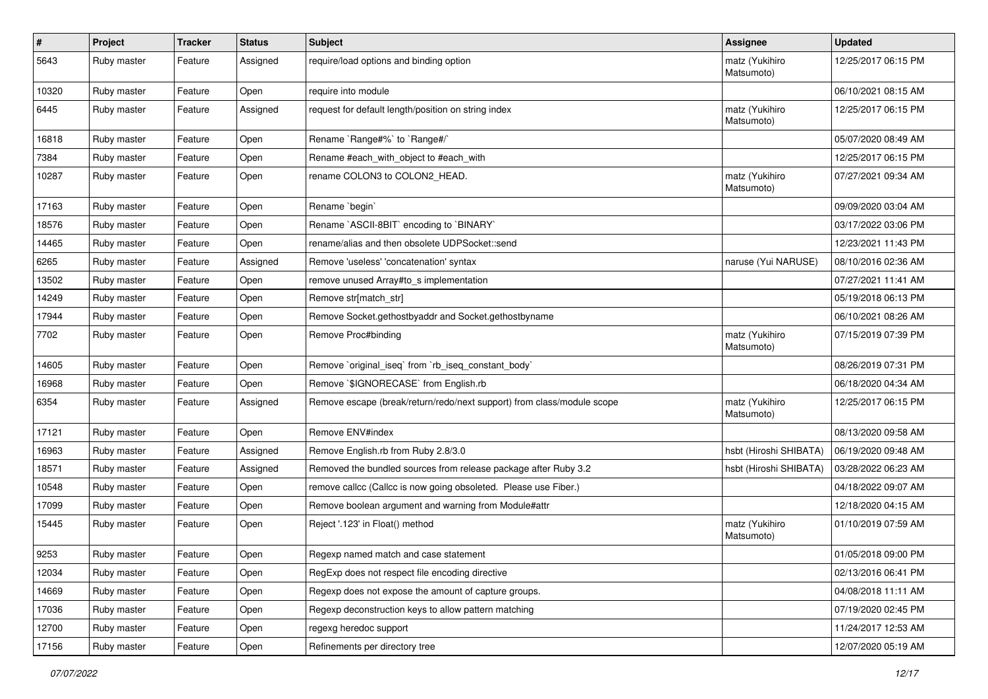| $\sharp$ | Project     | <b>Tracker</b> | <b>Status</b> | Subject                                                                | <b>Assignee</b>              | <b>Updated</b>      |
|----------|-------------|----------------|---------------|------------------------------------------------------------------------|------------------------------|---------------------|
| 5643     | Ruby master | Feature        | Assigned      | require/load options and binding option                                | matz (Yukihiro<br>Matsumoto) | 12/25/2017 06:15 PM |
| 10320    | Ruby master | Feature        | Open          | require into module                                                    |                              | 06/10/2021 08:15 AM |
| 6445     | Ruby master | Feature        | Assigned      | request for default length/position on string index                    | matz (Yukihiro<br>Matsumoto) | 12/25/2017 06:15 PM |
| 16818    | Ruby master | Feature        | Open          | Rename `Range#%` to `Range#/`                                          |                              | 05/07/2020 08:49 AM |
| 7384     | Ruby master | Feature        | Open          | Rename #each_with_object to #each_with                                 |                              | 12/25/2017 06:15 PM |
| 10287    | Ruby master | Feature        | Open          | rename COLON3 to COLON2 HEAD.                                          | matz (Yukihiro<br>Matsumoto) | 07/27/2021 09:34 AM |
| 17163    | Ruby master | Feature        | Open          | Rename `begin`                                                         |                              | 09/09/2020 03:04 AM |
| 18576    | Ruby master | Feature        | Open          | Rename `ASCII-8BIT` encoding to `BINARY`                               |                              | 03/17/2022 03:06 PM |
| 14465    | Ruby master | Feature        | Open          | rename/alias and then obsolete UDPSocket::send                         |                              | 12/23/2021 11:43 PM |
| 6265     | Ruby master | Feature        | Assigned      | Remove 'useless' 'concatenation' syntax                                | naruse (Yui NARUSE)          | 08/10/2016 02:36 AM |
| 13502    | Ruby master | Feature        | Open          | remove unused Array#to_s implementation                                |                              | 07/27/2021 11:41 AM |
| 14249    | Ruby master | Feature        | Open          | Remove str[match_str]                                                  |                              | 05/19/2018 06:13 PM |
| 17944    | Ruby master | Feature        | Open          | Remove Socket.gethostbyaddr and Socket.gethostbyname                   |                              | 06/10/2021 08:26 AM |
| 7702     | Ruby master | Feature        | Open          | Remove Proc#binding                                                    | matz (Yukihiro<br>Matsumoto) | 07/15/2019 07:39 PM |
| 14605    | Ruby master | Feature        | Open          | Remove `original iseg` from `rb iseg constant body`                    |                              | 08/26/2019 07:31 PM |
| 16968    | Ruby master | Feature        | Open          | Remove `\$IGNORECASE` from English.rb                                  |                              | 06/18/2020 04:34 AM |
| 6354     | Ruby master | Feature        | Assigned      | Remove escape (break/return/redo/next support) from class/module scope | matz (Yukihiro<br>Matsumoto) | 12/25/2017 06:15 PM |
| 17121    | Ruby master | Feature        | Open          | Remove ENV#index                                                       |                              | 08/13/2020 09:58 AM |
| 16963    | Ruby master | Feature        | Assigned      | Remove English.rb from Ruby 2.8/3.0                                    | hsbt (Hiroshi SHIBATA)       | 06/19/2020 09:48 AM |
| 18571    | Ruby master | Feature        | Assigned      | Removed the bundled sources from release package after Ruby 3.2        | hsbt (Hiroshi SHIBATA)       | 03/28/2022 06:23 AM |
| 10548    | Ruby master | Feature        | Open          | remove callcc (Callcc is now going obsoleted. Please use Fiber.)       |                              | 04/18/2022 09:07 AM |
| 17099    | Ruby master | Feature        | Open          | Remove boolean argument and warning from Module#attr                   |                              | 12/18/2020 04:15 AM |
| 15445    | Ruby master | Feature        | Open          | Reject '.123' in Float() method                                        | matz (Yukihiro<br>Matsumoto) | 01/10/2019 07:59 AM |
| 9253     | Ruby master | Feature        | Open          | Regexp named match and case statement                                  |                              | 01/05/2018 09:00 PM |
| 12034    | Ruby master | Feature        | Open          | RegExp does not respect file encoding directive                        |                              | 02/13/2016 06:41 PM |
| 14669    | Ruby master | Feature        | Open          | Regexp does not expose the amount of capture groups.                   |                              | 04/08/2018 11:11 AM |
| 17036    | Ruby master | Feature        | Open          | Regexp deconstruction keys to allow pattern matching                   |                              | 07/19/2020 02:45 PM |
| 12700    | Ruby master | Feature        | Open          | regexg heredoc support                                                 |                              | 11/24/2017 12:53 AM |
| 17156    | Ruby master | Feature        | Open          | Refinements per directory tree                                         |                              | 12/07/2020 05:19 AM |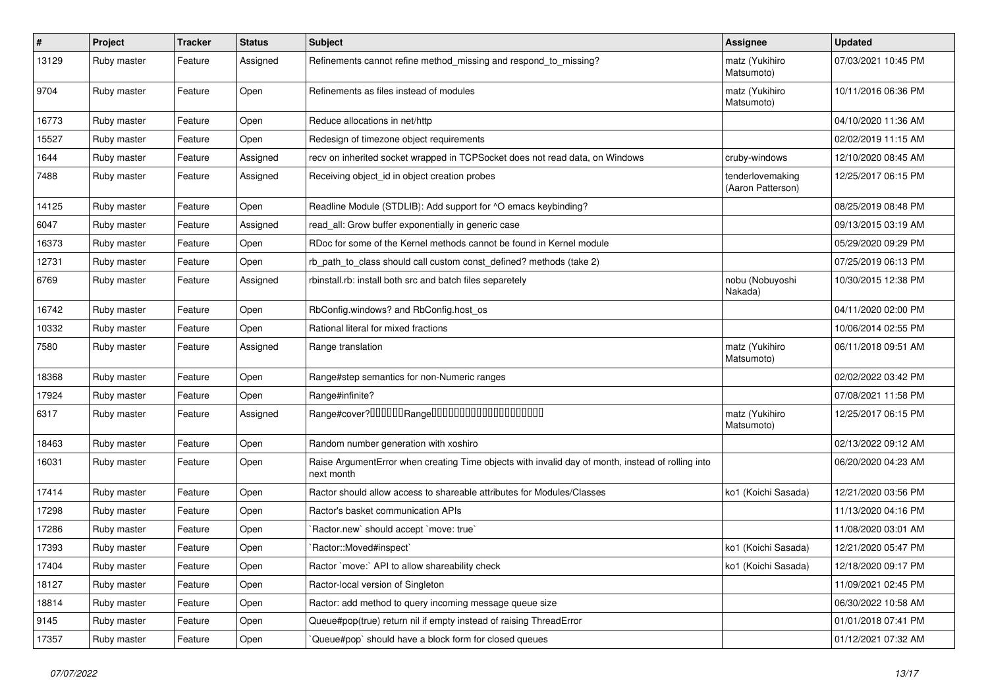| $\pmb{\#}$ | Project     | <b>Tracker</b> | <b>Status</b> | <b>Subject</b>                                                                                                  | <b>Assignee</b>                       | <b>Updated</b>      |
|------------|-------------|----------------|---------------|-----------------------------------------------------------------------------------------------------------------|---------------------------------------|---------------------|
| 13129      | Ruby master | Feature        | Assigned      | Refinements cannot refine method_missing and respond_to_missing?                                                | matz (Yukihiro<br>Matsumoto)          | 07/03/2021 10:45 PM |
| 9704       | Ruby master | Feature        | Open          | Refinements as files instead of modules                                                                         | matz (Yukihiro<br>Matsumoto)          | 10/11/2016 06:36 PM |
| 16773      | Ruby master | Feature        | Open          | Reduce allocations in net/http                                                                                  |                                       | 04/10/2020 11:36 AM |
| 15527      | Ruby master | Feature        | Open          | Redesign of timezone object requirements                                                                        |                                       | 02/02/2019 11:15 AM |
| 1644       | Ruby master | Feature        | Assigned      | recv on inherited socket wrapped in TCPSocket does not read data, on Windows                                    | cruby-windows                         | 12/10/2020 08:45 AM |
| 7488       | Ruby master | Feature        | Assigned      | Receiving object_id in object creation probes                                                                   | tenderlovemaking<br>(Aaron Patterson) | 12/25/2017 06:15 PM |
| 14125      | Ruby master | Feature        | Open          | Readline Module (STDLIB): Add support for ^O emacs keybinding?                                                  |                                       | 08/25/2019 08:48 PM |
| 6047       | Ruby master | Feature        | Assigned      | read_all: Grow buffer exponentially in generic case                                                             |                                       | 09/13/2015 03:19 AM |
| 16373      | Ruby master | Feature        | Open          | RDoc for some of the Kernel methods cannot be found in Kernel module                                            |                                       | 05/29/2020 09:29 PM |
| 12731      | Ruby master | Feature        | Open          | rb_path_to_class should call custom const_defined? methods (take 2)                                             |                                       | 07/25/2019 06:13 PM |
| 6769       | Ruby master | Feature        | Assigned      | rbinstall.rb: install both src and batch files separetely                                                       | nobu (Nobuyoshi<br>Nakada)            | 10/30/2015 12:38 PM |
| 16742      | Ruby master | Feature        | Open          | RbConfig.windows? and RbConfig.host_os                                                                          |                                       | 04/11/2020 02:00 PM |
| 10332      | Ruby master | Feature        | Open          | Rational literal for mixed fractions                                                                            |                                       | 10/06/2014 02:55 PM |
| 7580       | Ruby master | Feature        | Assigned      | Range translation                                                                                               | matz (Yukihiro<br>Matsumoto)          | 06/11/2018 09:51 AM |
| 18368      | Ruby master | Feature        | Open          | Range#step semantics for non-Numeric ranges                                                                     |                                       | 02/02/2022 03:42 PM |
| 17924      | Ruby master | Feature        | Open          | Range#infinite?                                                                                                 |                                       | 07/08/2021 11:58 PM |
| 6317       | Ruby master | Feature        | Assigned      | Range#cover?000000Range00000000000000000000                                                                     | matz (Yukihiro<br>Matsumoto)          | 12/25/2017 06:15 PM |
| 18463      | Ruby master | Feature        | Open          | Random number generation with xoshiro                                                                           |                                       | 02/13/2022 09:12 AM |
| 16031      | Ruby master | Feature        | Open          | Raise ArgumentError when creating Time objects with invalid day of month, instead of rolling into<br>next month |                                       | 06/20/2020 04:23 AM |
| 17414      | Ruby master | Feature        | Open          | Ractor should allow access to shareable attributes for Modules/Classes                                          | ko1 (Koichi Sasada)                   | 12/21/2020 03:56 PM |
| 17298      | Ruby master | Feature        | Open          | Ractor's basket communication APIs                                                                              |                                       | 11/13/2020 04:16 PM |
| 17286      | Ruby master | Feature        | Open          | 'Ractor.new' should accept 'move: true'                                                                         |                                       | 11/08/2020 03:01 AM |
| 17393      | Ruby master | Feature        | Open          | 'Ractor::Moved#inspect'                                                                                         | ko1 (Koichi Sasada)                   | 12/21/2020 05:47 PM |
| 17404      | Ruby master | Feature        | Open          | Ractor `move:` API to allow shareability check                                                                  | ko1 (Koichi Sasada)                   | 12/18/2020 09:17 PM |
| 18127      | Ruby master | Feature        | Open          | Ractor-local version of Singleton                                                                               |                                       | 11/09/2021 02:45 PM |
| 18814      | Ruby master | Feature        | Open          | Ractor: add method to query incoming message queue size                                                         |                                       | 06/30/2022 10:58 AM |
| 9145       | Ruby master | Feature        | Open          | Queue#pop(true) return nil if empty instead of raising ThreadError                                              |                                       | 01/01/2018 07:41 PM |
| 17357      | Ruby master | Feature        | Open          | Queue#pop`should have a block form for closed queues                                                            |                                       | 01/12/2021 07:32 AM |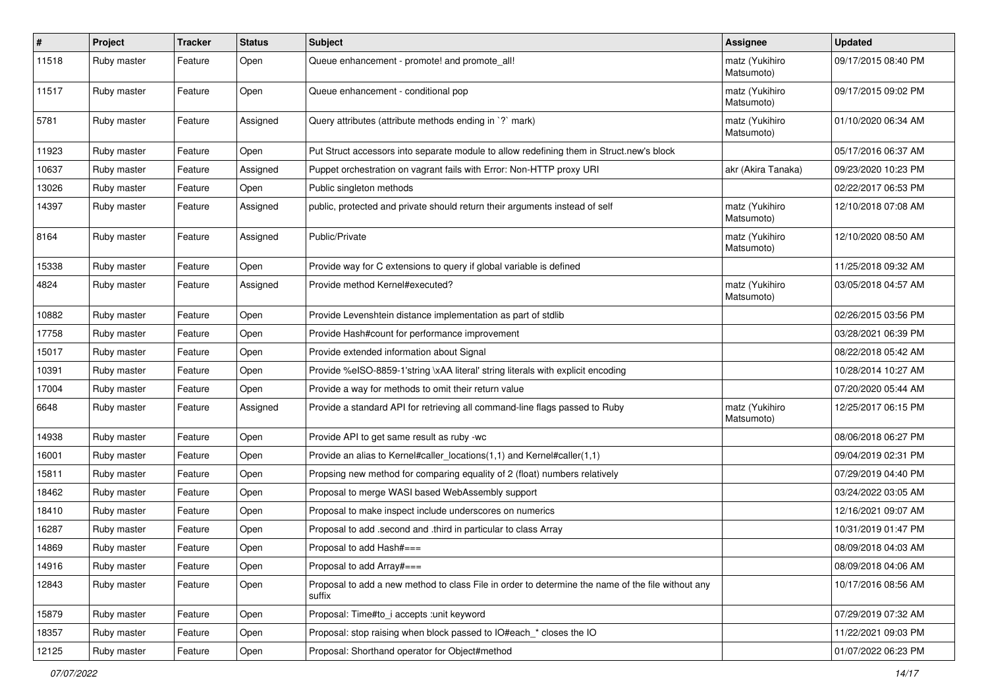| $\vert$ # | Project     | <b>Tracker</b> | <b>Status</b> | <b>Subject</b>                                                                                              | <b>Assignee</b>              | <b>Updated</b>      |
|-----------|-------------|----------------|---------------|-------------------------------------------------------------------------------------------------------------|------------------------------|---------------------|
| 11518     | Ruby master | Feature        | Open          | Queue enhancement - promote! and promote_all!                                                               | matz (Yukihiro<br>Matsumoto) | 09/17/2015 08:40 PM |
| 11517     | Ruby master | Feature        | Open          | Queue enhancement - conditional pop                                                                         | matz (Yukihiro<br>Matsumoto) | 09/17/2015 09:02 PM |
| 5781      | Ruby master | Feature        | Assigned      | Query attributes (attribute methods ending in `?` mark)                                                     | matz (Yukihiro<br>Matsumoto) | 01/10/2020 06:34 AM |
| 11923     | Ruby master | Feature        | Open          | Put Struct accessors into separate module to allow redefining them in Struct.new's block                    |                              | 05/17/2016 06:37 AM |
| 10637     | Ruby master | Feature        | Assigned      | Puppet orchestration on vagrant fails with Error: Non-HTTP proxy URI                                        | akr (Akira Tanaka)           | 09/23/2020 10:23 PM |
| 13026     | Ruby master | Feature        | Open          | Public singleton methods                                                                                    |                              | 02/22/2017 06:53 PM |
| 14397     | Ruby master | Feature        | Assigned      | public, protected and private should return their arguments instead of self                                 | matz (Yukihiro<br>Matsumoto) | 12/10/2018 07:08 AM |
| 8164      | Ruby master | Feature        | Assigned      | Public/Private                                                                                              | matz (Yukihiro<br>Matsumoto) | 12/10/2020 08:50 AM |
| 15338     | Ruby master | Feature        | Open          | Provide way for C extensions to query if global variable is defined                                         |                              | 11/25/2018 09:32 AM |
| 4824      | Ruby master | Feature        | Assigned      | Provide method Kernel#executed?                                                                             | matz (Yukihiro<br>Matsumoto) | 03/05/2018 04:57 AM |
| 10882     | Ruby master | Feature        | Open          | Provide Levenshtein distance implementation as part of stdlib                                               |                              | 02/26/2015 03:56 PM |
| 17758     | Ruby master | Feature        | Open          | Provide Hash#count for performance improvement                                                              |                              | 03/28/2021 06:39 PM |
| 15017     | Ruby master | Feature        | Open          | Provide extended information about Signal                                                                   |                              | 08/22/2018 05:42 AM |
| 10391     | Ruby master | Feature        | Open          | Provide %eISO-8859-1'string \xAA literal' string literals with explicit encoding                            |                              | 10/28/2014 10:27 AM |
| 17004     | Ruby master | Feature        | Open          | Provide a way for methods to omit their return value                                                        |                              | 07/20/2020 05:44 AM |
| 6648      | Ruby master | Feature        | Assigned      | Provide a standard API for retrieving all command-line flags passed to Ruby                                 | matz (Yukihiro<br>Matsumoto) | 12/25/2017 06:15 PM |
| 14938     | Ruby master | Feature        | Open          | Provide API to get same result as ruby -wc                                                                  |                              | 08/06/2018 06:27 PM |
| 16001     | Ruby master | Feature        | Open          | Provide an alias to Kernel#caller_locations(1,1) and Kernel#caller(1,1)                                     |                              | 09/04/2019 02:31 PM |
| 15811     | Ruby master | Feature        | Open          | Propsing new method for comparing equality of 2 (float) numbers relatively                                  |                              | 07/29/2019 04:40 PM |
| 18462     | Ruby master | Feature        | Open          | Proposal to merge WASI based WebAssembly support                                                            |                              | 03/24/2022 03:05 AM |
| 18410     | Ruby master | Feature        | Open          | Proposal to make inspect include underscores on numerics                                                    |                              | 12/16/2021 09:07 AM |
| 16287     | Ruby master | Feature        | Open          | Proposal to add .second and .third in particular to class Array                                             |                              | 10/31/2019 01:47 PM |
| 14869     | Ruby master | Feature        | Open          | Proposal to add Hash#===                                                                                    |                              | 08/09/2018 04:03 AM |
| 14916     | Ruby master | Feature        | Open          | Proposal to add Array#===                                                                                   |                              | 08/09/2018 04:06 AM |
| 12843     | Ruby master | Feature        | Open          | Proposal to add a new method to class File in order to determine the name of the file without any<br>suffix |                              | 10/17/2016 08:56 AM |
| 15879     | Ruby master | Feature        | Open          | Proposal: Time#to_i accepts :unit keyword                                                                   |                              | 07/29/2019 07:32 AM |
| 18357     | Ruby master | Feature        | Open          | Proposal: stop raising when block passed to IO#each_* closes the IO                                         |                              | 11/22/2021 09:03 PM |
| 12125     | Ruby master | Feature        | Open          | Proposal: Shorthand operator for Object#method                                                              |                              | 01/07/2022 06:23 PM |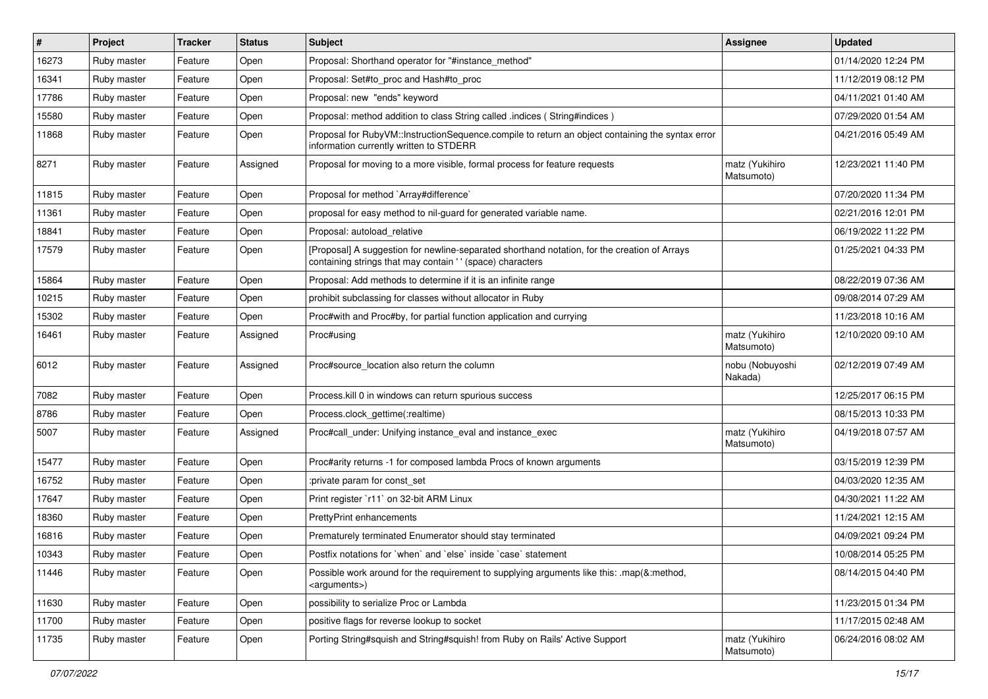| #     | Project     | <b>Tracker</b> | <b>Status</b> | <b>Subject</b>                                                                                                                                            | <b>Assignee</b>              | <b>Updated</b>      |
|-------|-------------|----------------|---------------|-----------------------------------------------------------------------------------------------------------------------------------------------------------|------------------------------|---------------------|
| 16273 | Ruby master | Feature        | Open          | Proposal: Shorthand operator for "#instance_method"                                                                                                       |                              | 01/14/2020 12:24 PM |
| 16341 | Ruby master | Feature        | Open          | Proposal: Set#to_proc and Hash#to_proc                                                                                                                    |                              | 11/12/2019 08:12 PM |
| 17786 | Ruby master | Feature        | Open          | Proposal: new "ends" keyword                                                                                                                              |                              | 04/11/2021 01:40 AM |
| 15580 | Ruby master | Feature        | Open          | Proposal: method addition to class String called .indices (String#indices)                                                                                |                              | 07/29/2020 01:54 AM |
| 11868 | Ruby master | Feature        | Open          | Proposal for RubyVM::InstructionSequence.compile to return an object containing the syntax error<br>information currently written to STDERR               |                              | 04/21/2016 05:49 AM |
| 8271  | Ruby master | Feature        | Assigned      | Proposal for moving to a more visible, formal process for feature requests                                                                                | matz (Yukihiro<br>Matsumoto) | 12/23/2021 11:40 PM |
| 11815 | Ruby master | Feature        | Open          | Proposal for method `Array#difference`                                                                                                                    |                              | 07/20/2020 11:34 PM |
| 11361 | Ruby master | Feature        | Open          | proposal for easy method to nil-guard for generated variable name.                                                                                        |                              | 02/21/2016 12:01 PM |
| 18841 | Ruby master | Feature        | Open          | Proposal: autoload relative                                                                                                                               |                              | 06/19/2022 11:22 PM |
| 17579 | Ruby master | Feature        | Open          | [Proposal] A suggestion for newline-separated shorthand notation, for the creation of Arrays<br>containing strings that may contain '' (space) characters |                              | 01/25/2021 04:33 PM |
| 15864 | Ruby master | Feature        | Open          | Proposal: Add methods to determine if it is an infinite range                                                                                             |                              | 08/22/2019 07:36 AM |
| 10215 | Ruby master | Feature        | Open          | prohibit subclassing for classes without allocator in Ruby                                                                                                |                              | 09/08/2014 07:29 AM |
| 15302 | Ruby master | Feature        | Open          | Proc#with and Proc#by, for partial function application and currying                                                                                      |                              | 11/23/2018 10:16 AM |
| 16461 | Ruby master | Feature        | Assigned      | Proc#using                                                                                                                                                | matz (Yukihiro<br>Matsumoto) | 12/10/2020 09:10 AM |
| 6012  | Ruby master | Feature        | Assigned      | Proc#source location also return the column                                                                                                               | nobu (Nobuyoshi<br>Nakada)   | 02/12/2019 07:49 AM |
| 7082  | Ruby master | Feature        | Open          | Process.kill 0 in windows can return spurious success                                                                                                     |                              | 12/25/2017 06:15 PM |
| 8786  | Ruby master | Feature        | Open          | Process.clock_gettime(:realtime)                                                                                                                          |                              | 08/15/2013 10:33 PM |
| 5007  | Ruby master | Feature        | Assigned      | Proc#call_under: Unifying instance_eval and instance_exec                                                                                                 | matz (Yukihiro<br>Matsumoto) | 04/19/2018 07:57 AM |
| 15477 | Ruby master | Feature        | Open          | Proc#arity returns -1 for composed lambda Procs of known arguments                                                                                        |                              | 03/15/2019 12:39 PM |
| 16752 | Ruby master | Feature        | Open          | :private param for const_set                                                                                                                              |                              | 04/03/2020 12:35 AM |
| 17647 | Ruby master | Feature        | Open          | Print register `r11` on 32-bit ARM Linux                                                                                                                  |                              | 04/30/2021 11:22 AM |
| 18360 | Ruby master | Feature        | Open          | PrettyPrint enhancements                                                                                                                                  |                              | 11/24/2021 12:15 AM |
| 16816 | Ruby master | Feature        | Open          | Prematurely terminated Enumerator should stay terminated                                                                                                  |                              | 04/09/2021 09:24 PM |
| 10343 | Ruby master | Feature        | Open          | Postfix notations for `when` and `else` inside `case` statement                                                                                           |                              | 10/08/2014 05:25 PM |
| 11446 | Ruby master | Feature        | Open          | Possible work around for the requirement to supplying arguments like this: .map(&:method,<br><arguments>)</arguments>                                     |                              | 08/14/2015 04:40 PM |
| 11630 | Ruby master | Feature        | Open          | possibility to serialize Proc or Lambda                                                                                                                   |                              | 11/23/2015 01:34 PM |
| 11700 | Ruby master | Feature        | Open          | positive flags for reverse lookup to socket                                                                                                               |                              | 11/17/2015 02:48 AM |
| 11735 | Ruby master | Feature        | Open          | Porting String#squish and String#squish! from Ruby on Rails' Active Support                                                                               | matz (Yukihiro<br>Matsumoto) | 06/24/2016 08:02 AM |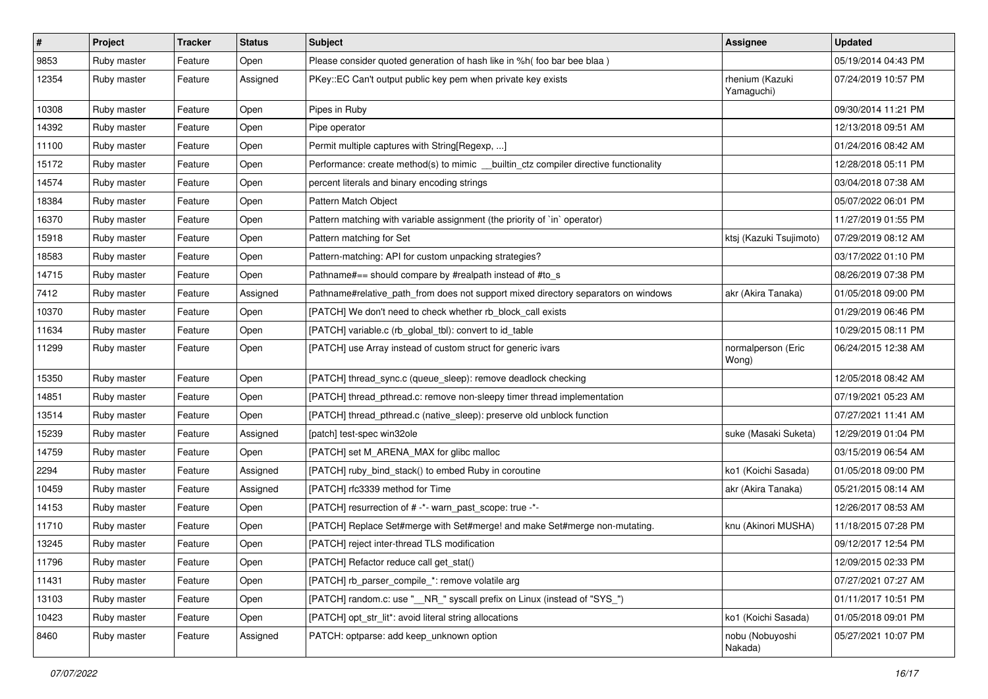| $\vert$ # | Project     | <b>Tracker</b> | <b>Status</b> | <b>Subject</b>                                                                        | <b>Assignee</b>               | <b>Updated</b>      |
|-----------|-------------|----------------|---------------|---------------------------------------------------------------------------------------|-------------------------------|---------------------|
| 9853      | Ruby master | Feature        | Open          | Please consider quoted generation of hash like in %h( foo bar bee blaa )              |                               | 05/19/2014 04:43 PM |
| 12354     | Ruby master | Feature        | Assigned      | PKey::EC Can't output public key pem when private key exists                          | rhenium (Kazuki<br>Yamaguchi) | 07/24/2019 10:57 PM |
| 10308     | Ruby master | Feature        | Open          | Pipes in Ruby                                                                         |                               | 09/30/2014 11:21 PM |
| 14392     | Ruby master | Feature        | Open          | Pipe operator                                                                         |                               | 12/13/2018 09:51 AM |
| 11100     | Ruby master | Feature        | Open          | Permit multiple captures with String[Regexp, ]                                        |                               | 01/24/2016 08:42 AM |
| 15172     | Ruby master | Feature        | Open          | Performance: create method(s) to mimic __builtin_ctz compiler directive functionality |                               | 12/28/2018 05:11 PM |
| 14574     | Ruby master | Feature        | Open          | percent literals and binary encoding strings                                          |                               | 03/04/2018 07:38 AM |
| 18384     | Ruby master | Feature        | Open          | Pattern Match Object                                                                  |                               | 05/07/2022 06:01 PM |
| 16370     | Ruby master | Feature        | Open          | Pattern matching with variable assignment (the priority of `in` operator)             |                               | 11/27/2019 01:55 PM |
| 15918     | Ruby master | Feature        | Open          | Pattern matching for Set                                                              | ktsj (Kazuki Tsujimoto)       | 07/29/2019 08:12 AM |
| 18583     | Ruby master | Feature        | Open          | Pattern-matching: API for custom unpacking strategies?                                |                               | 03/17/2022 01:10 PM |
| 14715     | Ruby master | Feature        | Open          | Pathname#== should compare by #realpath instead of #to_s                              |                               | 08/26/2019 07:38 PM |
| 7412      | Ruby master | Feature        | Assigned      | Pathname#relative_path_from does not support mixed directory separators on windows    | akr (Akira Tanaka)            | 01/05/2018 09:00 PM |
| 10370     | Ruby master | Feature        | Open          | [PATCH] We don't need to check whether rb_block_call exists                           |                               | 01/29/2019 06:46 PM |
| 11634     | Ruby master | Feature        | Open          | [PATCH] variable.c (rb_global_tbl): convert to id_table                               |                               | 10/29/2015 08:11 PM |
| 11299     | Ruby master | Feature        | Open          | [PATCH] use Array instead of custom struct for generic ivars                          | normalperson (Eric<br>Wong)   | 06/24/2015 12:38 AM |
| 15350     | Ruby master | Feature        | Open          | [PATCH] thread_sync.c (queue_sleep): remove deadlock checking                         |                               | 12/05/2018 08:42 AM |
| 14851     | Ruby master | Feature        | Open          | [PATCH] thread_pthread.c: remove non-sleepy timer thread implementation               |                               | 07/19/2021 05:23 AM |
| 13514     | Ruby master | Feature        | Open          | [PATCH] thread_pthread.c (native_sleep): preserve old unblock function                |                               | 07/27/2021 11:41 AM |
| 15239     | Ruby master | Feature        | Assigned      | [patch] test-spec win32ole                                                            | suke (Masaki Suketa)          | 12/29/2019 01:04 PM |
| 14759     | Ruby master | Feature        | Open          | [PATCH] set M_ARENA_MAX for glibc malloc                                              |                               | 03/15/2019 06:54 AM |
| 2294      | Ruby master | Feature        | Assigned      | [PATCH] ruby_bind_stack() to embed Ruby in coroutine                                  | ko1 (Koichi Sasada)           | 01/05/2018 09:00 PM |
| 10459     | Ruby master | Feature        | Assigned      | [PATCH] rfc3339 method for Time                                                       | akr (Akira Tanaka)            | 05/21/2015 08:14 AM |
| 14153     | Ruby master | Feature        | Open          | [PATCH] resurrection of # -*- warn_past_scope: true -*-                               |                               | 12/26/2017 08:53 AM |
| 11710     | Ruby master | Feature        | Open          | [PATCH] Replace Set#merge with Set#merge! and make Set#merge non-mutating.            | knu (Akinori MUSHA)           | 11/18/2015 07:28 PM |
| 13245     | Ruby master | Feature        | Open          | [PATCH] reject inter-thread TLS modification                                          |                               | 09/12/2017 12:54 PM |
| 11796     | Ruby master | Feature        | Open          | [PATCH] Refactor reduce call get_stat()                                               |                               | 12/09/2015 02:33 PM |
| 11431     | Ruby master | Feature        | Open          | [PATCH] rb_parser_compile_*: remove volatile arg                                      |                               | 07/27/2021 07:27 AM |
| 13103     | Ruby master | Feature        | Open          | [PATCH] random.c: use "__NR_" syscall prefix on Linux (instead of "SYS_")             |                               | 01/11/2017 10:51 PM |
| 10423     | Ruby master | Feature        | Open          | [PATCH] opt str lit*: avoid literal string allocations                                | ko1 (Koichi Sasada)           | 01/05/2018 09:01 PM |
| 8460      | Ruby master | Feature        | Assigned      | PATCH: optparse: add keep_unknown option                                              | nobu (Nobuyoshi<br>Nakada)    | 05/27/2021 10:07 PM |